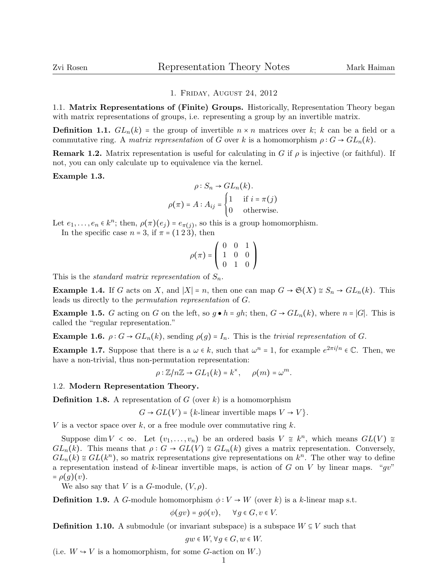## 1. Friday, August 24, 2012

1.1. Matrix Representations of (Finite) Groups. Historically, Representation Theory began with matrix representations of groups, i.e. representing a group by an invertible matrix.

**Definition 1.1.**  $GL_n(k)$  = the group of invertible  $n \times n$  matrices over k; k can be a field or a commutative ring. A matrix representation of G over k is a homomorphism  $\rho: G \to GL_n(k)$ .

**Remark 1.2.** Matrix representation is useful for calculating in G if  $\rho$  is injective (or faithful). If not, you can only calculate up to equivalence via the kernel.

## Example 1.3.

$$
\rho: S_n \to GL_n(k).
$$

$$
\rho(\pi) = A: A_{ij} = \begin{cases} 1 & \text{if } i = \pi(j) \\ 0 & \text{otherwise.} \end{cases}
$$

Let  $e_1, \ldots, e_n \in k^n$ ; then,  $\rho(\pi)(e_j) = e_{\pi(j)}$ , so this is a group homomorphism.

In the specific case  $n = 3$ , if  $\pi = (1\ 2\ 3)$ , then

$$
\rho(\pi) = \left( \begin{array}{ccc} 0 & 0 & 1 \\ 1 & 0 & 0 \\ 0 & 1 & 0 \end{array} \right)
$$

This is the *standard matrix representation* of  $S_n$ .

**Example 1.4.** If G acts on X, and  $|X| = n$ , then one can map  $G \to \mathfrak{S}(X) \cong S_n \to GL_n(k)$ . This leads us directly to the permutation representation of G.

**Example 1.5.** G acting on G on the left, so  $g \cdot h = gh$ ; then,  $G \rightarrow GL_n(k)$ , where  $n = |G|$ . This is called the "regular representation."

**Example 1.6.**  $\rho: G \to GL_n(k)$ , sending  $\rho(g) = I_n$ . This is the *trivial representation* of G.

**Example 1.7.** Suppose that there is a  $\omega \in k$ , such that  $\omega^n = 1$ , for example  $e^{2\pi i/n} \in \mathbb{C}$ . Then, we have a non-trivial thus non-non-trivial through proposed that have a non-trivial, thus non-permutation representation:

$$
\rho:\mathbb{Z}/n\mathbb{Z}\to GL_1(k)=k^{\times}, \quad \rho(m)=\omega^m.
$$

## 1.2. Modern Representation Theory.

**Definition 1.8.** A representation of G (over k) is a homomorphism

 $G \rightarrow GL(V) = \{k\text{-linear invertible maps } V \rightarrow V\}.$ 

V is a vector space over  $k$ , or a free module over commutative ring  $k$ .

Suppose dim  $V \leq \infty$ . Let  $(v_1, \ldots, v_n)$  be an ordered basis  $V \cong k^n$ , which means  $GL(V) \cong$  $GL_n(k)$ . This means that  $\rho: G \to GL(V) \cong GL_n(k)$  gives a matrix representation. Conversely,  $GL_n(k) \cong GL(k^n)$ , so matrix representations give representations on  $k^n$ . The other way to define a representation instead of k-linear invertible maps, is action of G on V by linear maps. " $qv$ "  $= \rho(g)(v)$ .

We also say that V is a G-module,  $(V, \rho)$ .

**Definition 1.9.** A G-module homomorphism  $\phi: V \to W$  (over k) is a k-linear map s.t.

 $\phi(qv) = q\phi(v), \quad \forall q \in G, v \in V.$ 

**Definition 1.10.** A submodule (or invariant subspace) is a subspace  $W \subseteq V$  such that

 $gw \in W$ ,  $\forall g \in G, w \in W$ .

(i.e.  $W \hookrightarrow V$  is a homomorphism, for some *G*-action on *W*.)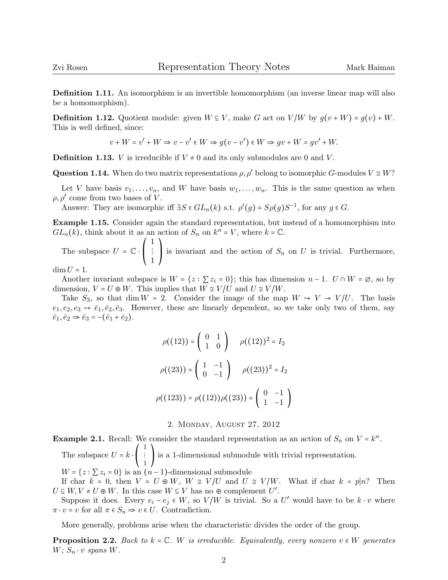Definition 1.11. An isomorphism is an invertible homomorphism (an inverse linear map will also be a homomorphism).

**Definition 1.12.** Quotient module: given  $W \subseteq V$ , make G act on  $V/W$  by  $g(v+W) = g(v) + W$ . This is well defined, since:

 $v + W = v' + W \Rightarrow v - v' \in W \Rightarrow g(v - v') \in W \Rightarrow gv + W = gv' + W.$ 

**Definition 1.13.** *V* is irreducible if  $V \neq 0$  and its only submodules are 0 and *V*.

**Question 1.14.** When do two matrix representations  $\rho, \rho'$  belong to isomorphic G-modules  $V \cong W$ ?

Let V have basis  $v_1, \ldots, v_n$ , and W have basis  $w_1, \ldots, w_n$ . This is the same question as when  $\rho, \rho'$  come from two bases of V.

Answer: They are isomorphic iff  $\exists S \in GL_n(k)$  s.t.  $\rho'(g) = S\rho(g)S^{-1}$ , for any  $g \in G$ .

Example 1.15. Consider again the standard representation, but instead of a homomorphism into  $GL_n(k)$ , think about it as an action of  $S_n$  on  $k^n = V$ , where  $k = \mathbb{C}$ .

The subspace  $U = \mathbb{C} \cdot$  $\mathsf I$ ⎝ 1  $\vdots$ 1  $\mathbf{I}$  $\mathbf{I}$ ⎠ is invariant and the action of  $S_n$  on U is trivial. Furthermore,

## $\dim U = 1$ .

Another invariant subspace is  $W = \{z : \sum z_i = 0\}$ ; this has dimension  $n - 1$ .  $U \cap W = \emptyset$ , so by dimension,  $V = U \oplus W$ . This implies that  $W \cong V/U$  and  $U \cong V/W$ .

Take  $S_3$ , so that dim  $W = 2$ . Consider the image of the map  $W \hookrightarrow V \rightarrow V/U$ . The basis  $e_1, e_2, e_3 \mapsto \bar{e}_1, \bar{e}_2, \bar{e}_3$ . However, these are linearly dependent, so we take only two of them, say  $\bar{e}_1, \bar{e}_2 \Rightarrow \bar{e}_3 = -(\bar{e}_1 + \bar{e}_2).$ 

$$
\rho((12)) = \begin{pmatrix} 0 & 1 \\ 1 & 0 \end{pmatrix} \quad \rho((12))^2 = I_2
$$

$$
\rho((23)) = \begin{pmatrix} 1 & -1 \\ 0 & -1 \end{pmatrix} \quad \rho((23))^2 = I_2
$$

$$
\rho((123)) = \rho((12))\rho((23)) = \begin{pmatrix} 0 & -1 \\ 1 & -1 \end{pmatrix}
$$

2. Monday, August 27, 2012

**Example 2.1.** Recall: We consider the standard representation as an action of  $S_n$  on  $V = k^n$ .

The subspace  $U = k \cdot$ ⎝ 1 ⋮ 1  $\mathbf{I}$ ⎠ is a 1-dimensional submodule with trivial representation.  $W = \{z : \sum z_i = 0\}$  is an  $(n-1)$ -dimensional submodule

If char  $k = 0$ , then  $V = U \oplus W$ ,  $W \cong V/U$  and  $U \cong V/W$ . What if char  $k = p|n$ ? Then  $U \subseteq W, V \neq U \oplus W$ . In this case  $W \subseteq V$  has no  $\oplus$  complement  $U'$ .<br>Suppose it does From  $c_0 \in W$  as  $V/W$  is trivial. So a

Suppose it does. Every  $e_i - e_j \in W$ , so  $V/W$  is trivial. So a U' would have to be  $k \cdot v$  where  $\pi \cdot v = v$  for all  $\pi \in S_n \Rightarrow v \in U$ . Contradiction.

More generally, problems arise when the characteristic divides the order of the group.

**Proposition 2.2.** Back to  $k = \mathbb{C}$ . W is irreducible. Equivalently, every nonzero  $v \in W$  generates  $W$ ;  $S_n \cdot v$  spans  $W$ .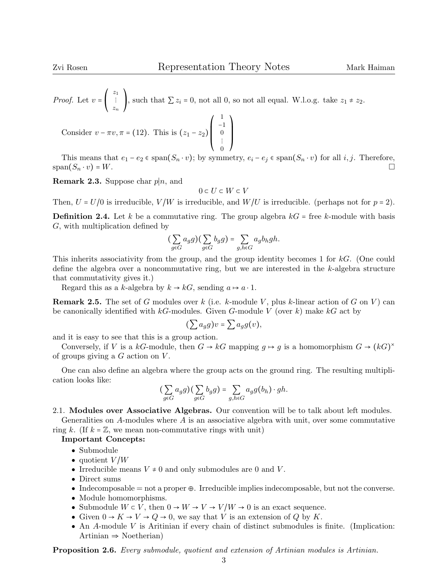*Proof.* Let  $v =$ ⎝  $z_1$ ⋮ zn  $\mathbf{I}$ , such that  $\sum z_i = 0$ , not all 0, so not all equal. W.l.o.g. take  $z_1 \neq z_2$ . 1  $\mathbf{I}$ 

Consider  $v - \pi v, \pi = (12)$ . This is  $(z_1 - z_2)$  $\overline{I}$  $\parallel$ ⎝ −1

0 This means that  $e_1 - e_2 \in \text{span}(S_n \cdot v)$ ; by symmetry,  $e_i - e_j \in \text{span}(S_n \cdot v)$  for all  $i, j$ . Therefore,  $\Box$  $\text{span}(S_n \cdot v) = W.$ 

 $\boldsymbol{0}$ ⋮

 $\frac{1}{2}$ ⎠

**Remark 2.3.** Suppose char  $p|n$ , and

$$
0 \subset U \subset W \subset V
$$

Then,  $U = U/0$  is irreducible,  $V/W$  is irreducible, and  $W/U$  is irreducible. (perhaps not for  $p = 2$ ).

**Definition 2.4.** Let k be a commutative ring. The group algebra  $kG$  = free k-module with basis G, with multiplication defined by

$$
\big(\sum_{g \in G} a_g g\big) \big(\sum_{g \in G} b_g g\big) = \sum_{g,h \in G} a_g b_h gh.
$$

This inherits associativity from the group, and the group identity becomes 1 for kG. (One could define the algebra over a noncommutative ring, but we are interested in the  $k$ -algebra structure that commutativity gives it.)

Regard this as a k-algebra by  $k \to kG$ , sending  $a \mapsto a \cdot 1$ .

**Remark 2.5.** The set of G modules over k (i.e. k-module V, plus k-linear action of G on V) can be canonically identified with  $kG$ -modules. Given G-module V (over k) make  $kG$  act by

$$
(\sum a_g g)v = \sum a_g g(v),
$$

and it is easy to see that this is a group action.

Conversely, if V is a kG-module, then  $G \to kG$  mapping  $g \mapsto g$  is a homomorphism  $G \to (kG)^{\times}$ of groups giving a  $G$  action on  $V$ .

One can also define an algebra where the group acts on the ground ring. The resulting multiplication looks like:

$$
\left(\sum_{g \in G} a_g g\right) \left(\sum_{g \in G} b_g g\right) = \sum_{g,h \in G} a_g g(b_h) \cdot gh.
$$

2.1. Modules over Associative Algebras. Our convention will be to talk about left modules.

Generalities on A-modules where  $A$  is an associative algebra with unit, over some commutative ring k. (If  $k = \mathbb{Z}$ , we mean non-commutative rings with unit)

## Important Concepts:

- Submodule
- quotient  $V/W$
- Irreducible means  $V \neq 0$  and only submodules are 0 and V.
- Direct sums
- Indecomposable  $=$  not a proper  $\oplus$ . Irreducible implies indecomposable, but not the converse.
- Module homomorphisms.
- Submodule  $W \subset V$ , then  $0 \to W \to V \to V/W \to 0$  is an exact sequence.
- Given  $0 \to K \to V \to Q \to 0$ , we say that V is an extension of Q by K.
- An  $A$ -module  $V$  is Aritinian if every chain of distinct submodules is finite. (Implication: Artinian ⇒ Noetherian)

Proposition 2.6. Every submodule, quotient and extension of Artinian modules is Artinian.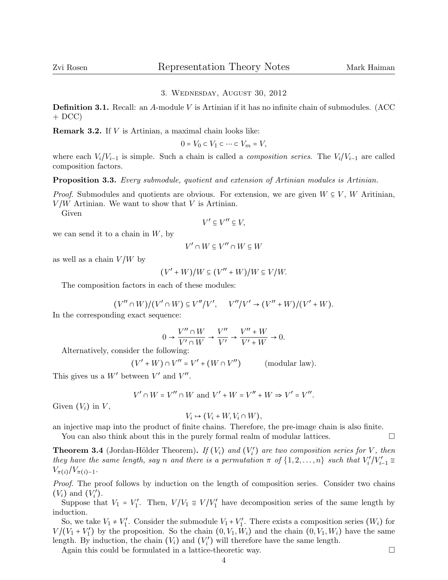## 3. Wednesday, August 30, 2012

**Definition 3.1.** Recall: an A-module V is Artinian if it has no infinite chain of submodules. (ACC)  $+ DCC$ 

Remark 3.2. If V is Artinian, a maximal chain looks like:

$$
0 = V_0 \subset V_1 \subset \cdots \subset V_m = V,
$$

where each  $V_i/V_{i-1}$  is simple. Such a chain is called a *composition series*. The  $V_i/V_{i-1}$  are called composition factors.

Proposition 3.3. Every submodule, quotient and extension of Artinian modules is Artinian.

*Proof.* Submodules and quotients are obvious. For extension, we are given  $W \subseteq V$ , W Aritinian,  $V/W$  Artinian. We want to show that V is Artinian.

Given

$$
V' \subseteq V'' \subseteq V,
$$

we can send it to a chain in  $W$ , by

$$
V' \cap W \subseteq V'' \cap W \subseteq W
$$

as well as a chain  $V/W$  by

$$
(V' + W)/W \subseteq (V'' + W)/W \subseteq V/W.
$$

The composition factors in each of these modules:

$$
(V'' \cap W)/(V' \cap W) \subseteq V''/V', \quad V''/V' \to (V'' + W)/(V' + W).
$$

In the corresponding exact sequence:

$$
0 \to \frac{V'' \cap W}{V' \cap W} \to \frac{V''}{V'} \to \frac{V'' + W}{V' + W} \to 0.
$$

Alternatively, consider the following:

$$
(V' + W) \cap V'' = V' + (W \cap V'')
$$
 (modular law).

This gives us a  $W'$  between  $V'$  and  $V''$ .

$$
V' \cap W = V'' \cap W \text{ and } V' + W = V'' + W \Rightarrow V' = V''.
$$

Given  $(V_i)$  in  $V$ ,

$$
V_i \mapsto (V_i + W, V_i \cap W),
$$

an injective map into the product of finite chains. Therefore, the pre-image chain is also finite.

You can also think about this in the purely formal realm of modular lattices.

**Theorem 3.4** (Jordan-Hölder Theorem). If  $(V_i)$  and  $(V'_i)$  are two composition series for V, then they have the same length, say n and there is a permutation  $\pi$  of  $\{1, 2, ..., n\}$  such that  $V'_i/V'_{i-1} \cong V'_i$  $V_{\pi(i)}/V_{\pi(i)-1}.$ 

Proof. The proof follows by induction on the length of composition series. Consider two chains  $(V_i)$  and  $(V'_i)$ .

Suppose that  $V_1 = V_1'$ . Then,  $V/V_1 \cong V/V_1'$  have decomposition series of the same length by induction.

So, we take  $V_1 \neq V'_1$ . Consider the submodule  $V_1 + V'_1$ . There exists a composition series  $(W_i)$  for  $V/(V_1 + V_1')$  by the proposition. So the chain  $(0, V_1, W_i)$  and the chain  $(0, V_1, W_i)$  have the same length. By induction, the chain  $(V_i)$  and  $(V'_i)$  will therefore have the same length.

Again this could be formulated in a lattice-theoretic way.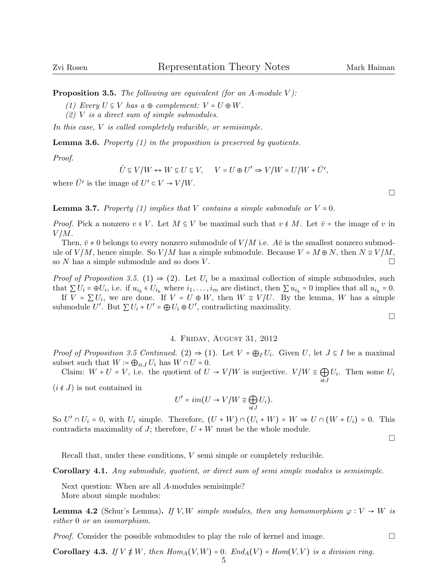**Proposition 3.5.** The following are equivalent (for an A-module V):

- (1) Every  $U \subseteq V$  has  $a \oplus complement: V = U \oplus W$ .
- $(2)$  V is a direct sum of simple submodules.

In this case, V is called completely reducible, or semisimple.

**Lemma 3.6.** Property  $(1)$  in the proposition is preserved by quotients.

Proof.

$$
\hat{U}\subseteq V/W \leftrightarrow W\subseteq U\subseteq V, \quad \ \ V=U\oplus U' \Rightarrow V/W=U/W+\bar{U'},
$$

where  $\overline{U'}$  is the image of  $U' \subset V \to V/W$ .

**Lemma 3.7.** Property (1) implies that V contains a simple submodule or  $V = 0$ .

*Proof.* Pick a nonzero  $v \in V$ . Let  $M \subseteq V$  be maximal such that  $v \notin M$ . Let  $\overline{v}$  = the image of v in  $V/M$ .

Then,  $\bar{v} \neq 0$  belongs to every nonzero submodule of  $V/M$  i.e.  $A\bar{v}$  is the smallest nonzero submodule of  $V/M$ , hence simple. So  $V/M$  has a simple submodule. Because  $V = M \oplus N$ , then  $N \cong V/M$ , so N has a simple submodule and so does V. so  $N$  has a simple submodule and so does  $V$ .

*Proof of Proposition 3.5.* (1)  $\Rightarrow$  (2). Let  $U_i$  be a maximal collection of simple submodules, such that  $\sum U_i = \oplus U_i$ , i.e. if  $u_{i_k} \in U_{i_k}$  where  $i_1, \ldots, i_m$  are distinct, then  $\sum u_{i_k} = 0$  implies that all  $u_{i_k} = 0$ .<br>If  $V = \sum U_i$  we are done. If  $V = U \oplus W_i$  then  $W \cong V/U$ . By the larges  $W$  has a simple If  $V = \sum U_i$ , we are done. If  $V = U \oplus W$ , then  $W \cong V/U$ . By the lemma, W has a simple

submodule U'. But  $\sum U_i + U' = \bigoplus U_i \oplus U'$ , contradicting maximality.

#### $\Box$

## 4. Friday, August 31, 2012

*Proof of Proposition 3.5 Continued.* (2)  $\Rightarrow$  (1). Let  $V = \bigoplus_I U_i$ . Given  $U$ , let  $J \subseteq I$  be a maximal subset such that  $W = \bigoplus_{i \in J} U_i$  has  $W \cap U = 0$ .

Claim:  $W + U = V$ , i.e. the quotient of  $U \to V/W$  is surjective.  $V/W \cong \bigoplus_{i \notin J}$  $U_i$ . Then some  $U_i$ 

 $(i \notin J)$  is not contained in

$$
U' = im(U \to V/W \cong \bigoplus_{i \notin J} U_i).
$$

So  $U' \cap U_i = 0$ , with  $U_i$  simple. Therefore,  $(U+W) \cap (U_i+W) = W \Rightarrow U \cap (W+U_i) = 0$ . This contradicts maximality of J; therefore,  $U + W$  must be the whole module.

 $\Box$ 

Recall that, under these conditions, V semi simple or completely reducible.

Corollary 4.1. Any submodule, quotient, or direct sum of semi simple modules is semisimple.

Next question: When are all A-modules semisimple? More about simple modules:

**Lemma 4.2** (Schur's Lemma). If V,W simple modules, then any homomorphism  $\varphi: V \to W$  is either 0 or an isomorphism.

*Proof.* Consider the possible submodules to play the role of kernel and image.  $\square$ 

Corollary 4.3. If  $V \not\equiv W$ , then  $Hom_A(V, W) = 0$ .  $End_A(V) = Hom(V, V)$  is a division ring.

 $\Box$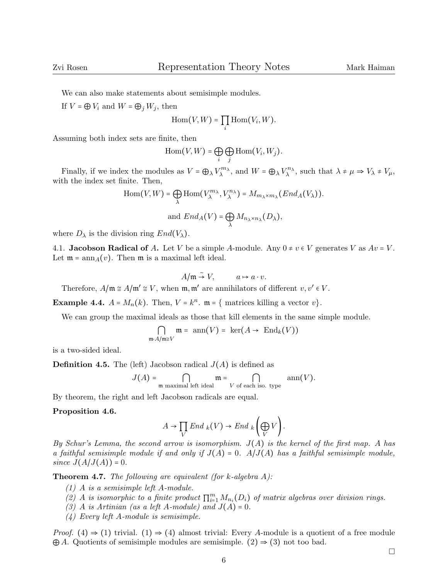$\Box$ 

We can also make statements about semisimple modules.

If  $V = \bigoplus V_i$  and  $W = \bigoplus_j W_j$ , then

$$
\mathrm{Hom}(V,W)=\prod_i \mathrm{Hom}(V_i,W).
$$

Assuming both index sets are finite, then

$$
\operatorname{Hom}(V,W)=\bigoplus_i\bigoplus_j\operatorname{Hom}(V_i,W_j).
$$

Finally, if we index the modules as  $V = \bigoplus_{\lambda} V_{\lambda}^{m_{\lambda}}$ , and  $W = \bigoplus_{\lambda} V_{\lambda}^{n_{\lambda}}$ , such that  $\lambda \neq \mu \Rightarrow V_{\lambda} \neq V_{\mu}$ , the index set finite. Then with the index set finite. Then,

$$
\text{Hom}(V, W) = \bigoplus_{\lambda} \text{Hom}(V_{\lambda}^{m_{\lambda}}, V_{\lambda}^{n_{\lambda}}) = M_{m_{\lambda} \times m_{\lambda}}(End_{A}(V_{\lambda})).
$$
\n
$$
\text{and } End_{A}(V) = \bigoplus_{\lambda} M_{n_{\lambda} \times n_{\lambda}}(D_{\lambda}),
$$

where  $D_{\lambda}$  is the division ring  $End(V_{\lambda})$ .

4.1. **Jacobson Radical of** A. Let V be a simple A-module. Any  $0 \neq v \in V$  generates V as  $Av = V$ . Let  $\mathfrak{m} = \text{ann}_A(v)$ . Then  $\mathfrak{m}$  is a maximal left ideal.

$$
A/\mathfrak{m} \stackrel{\sim}{\rightarrow} V, \qquad a \mapsto a \cdot v.
$$

Therefore,  $A/\mathfrak{m} \cong A/\mathfrak{m}' \cong V$ , when  $\mathfrak{m}, \mathfrak{m}'$  are annihilators of different  $v, v' \in V$ .

**Example 4.4.**  $A = M_n(k)$ . Then,  $V = k^n$ .  $\mathfrak{m} = \{$  matrices killing a vector  $v\}$ .

We can group the maximal ideals as those that kill elements in the same simple module.

$$
\bigcap_{\mathfrak{m}\cdot A/\mathfrak{m}\cong V}\mathfrak{m}=\operatorname{ann}(V)=\ker(A\to\operatorname{End}_k(V))
$$

is a two-sided ideal.

**Definition 4.5.** The (left) Jacobson radical  $J(A)$  is defined as

$$
J(A) = \bigcap_{\mathfrak{m} \text{ maximal left ideal}} \mathfrak{m} = \bigcap_{V \text{ of each iso. type}} \text{ann}(V).
$$

By theorem, the right and left Jacobson radicals are equal.

#### Proposition 4.6.

$$
A \to \prod_V End_{k}(V) \to End_{k}\left(\bigoplus_V V\right).
$$

By Schur's Lemma, the second arrow is isomorphism.  $J(A)$  is the kernel of the first map. A has a faithful semisimple module if and only if  $J(A) = 0$ .  $A/J(A)$  has a faithful semisimple module, since  $J(A/J(A)) = 0$ .

**Theorem 4.7.** The following are equivalent (for k-algebra  $A$ ):

- (1) A is a semisimple left A-module.
- (2) A is isomorphic to a finite product  $\prod_{i=1}^{m} M_{n_i}(D_i)$  of matrix algebras over division rings.<br>(2) A is Artinian (as a left A modula) and  $I(A) = 0$
- (3) A is Artinian (as a left A-module) and  $J(A) = 0$ .
- (4) Every left A-module is semisimple.

*Proof.* (4)  $\Rightarrow$  (1) trivial. (1)  $\Rightarrow$  (4) almost trivial: Every A-module is a quotient of a free module  $\bigoplus A$ . Quotients of semisimple modules are semisimple. (2)  $\Rightarrow$  (3) not too bad.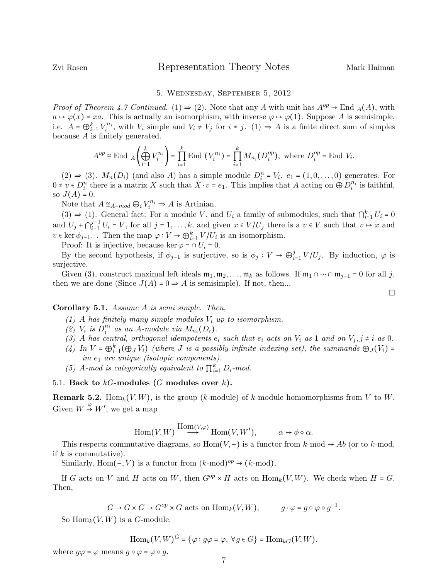$\Box$ 

## 5. Wednesday, September 5, 2012

*Proof of Theorem 4.7 Continued.* (1)  $\Rightarrow$  (2). Note that any A with unit has  $A^{op} \rightarrow$  End  $_A(A)$ , with  $a \mapsto \varphi(x) = xa$ . This is actually an isomorphism, with inverse  $\varphi \mapsto \varphi(1)$ . Suppose A is semisimple, i.e.  $A = \bigoplus_{i=1}^k V_i^{n_i}$ , with  $V_i$  simple and  $V_i \neq V_j$  for  $i \neq j$ . (1)  $\Rightarrow A$  is a finite direct sum of simples because A is finitely generated.

$$
A^{op} \cong \text{End} \ \, A\left(\bigoplus_{i=1}^k V_i^{n_i}\right) = \prod_{i=1}^k \text{End} \,\left(V_i^{n_i}\right) = \prod_{i=1}^k M_{n_i}\left(D_i^{op}\right), \text{ where } D_i^{op} = \text{End} \,\, V_i.
$$

 $(2) \Rightarrow (3)$ .  $M_n(D_i)$  (and also A) has a simple module  $D_i^n = V_i$ .  $e_1 = (1, 0, \ldots, 0)$  generates. For  $0 \neq v \in D_i^n$  there is a matrix X such that  $X \cdot v = e_1$ . This implies that A acting on  $\bigoplus D_i^{n_i}$  is faithful, so  $J(A) = 0$ .

Note that  $A \cong_{A-mod} \bigoplus_i V_i^{n_i} \Rightarrow A$  is Artinian.

 $(3)$  ⇒ (1). General fact: For a module V, and  $U_i$  a family of submodules, such that  $\bigcap_{i=1}^k U_i = 0$ and  $U_j + \bigcap_{i=1}^{j-1} U_i = V$ , for all  $j = 1, ..., k$ , and given  $x \in V/U_j$  there is a  $v \in V$  such that  $v \mapsto x$  and  $v \in \text{ker } \phi_{j-1}$ . Then the map  $\varphi: V \to \bigoplus_{i=1}^k V/U_i$  is an isomorphism.<br>Proof. It is injective because  $\text{ker } \varphi \circ U = 0$ .

Proof: It is injective, because ker  $\varphi = \cap U_i = 0$ .

By the second hypothesis, if  $\phi_{j-1}$  is surjective, so is  $\phi_j : V \to \bigoplus_i^j$  $\sum_{i=1}^{j} V/U_j$ . By induction,  $\varphi$  is surjective.

Given (3), construct maximal left ideals  $m_1, m_2, \ldots, m_k$  as follows. If  $m_1 \cap \cdots \cap m_{j-1} = 0$  for all j, then we are done (Since  $J(A) = 0 \Rightarrow A$  is semisimple). If not, then...

Corollary 5.1. Assume A is semi simple. Then,

- (1) A has finitely many simple modules  $V_i$  up to isomorphism.
- $(2)$  V<sub>i</sub> is  $D_i^{n_i}$  as an A-module via  $M_{n_i}(D_i)$ .
- (3) A has central, orthogonal idempotents  $e_i$  such that  $e_i$  acts on  $V_i$  as 1 and on  $V_j$ ,  $j \neq i$  as 0.
- (4) In  $V = \bigoplus_{i=1}^k (\bigoplus_j V_i)$  (where J is a possibly infinite indexing set), the summands  $\bigoplus_j (V_i) =$  $\hat{u}$   $v = \bigoplus_{i=1}$  $(\bigoplus J v_i)$  (where *J* is a possibility equal to  $\hat{u}$ ).
- (5) A-mod is categorically equivalent to  $\prod_{i=1}^{k} D_i$ -mod.

## 5.1. Back to  $kG$ -modules (G modules over  $k$ ).

**Remark 5.2.** Hom<sub>k</sub> $(V, W)$ , is the group (k-module) of k-module homomorphisms from V to W. Given  $W \stackrel{\varphi}{\rightarrow} W'$ , we get a map

$$
\operatorname{Hom}(V,W) \stackrel{\operatorname{Hom}(V,\varphi)}{\longrightarrow} \operatorname{Hom}(V,W'), \qquad \alpha \mapsto \phi \circ \alpha.
$$

This respects commutative diagrams, so Hom( $V,$ −) is a functor from k-mod  $\rightarrow Ab$  (or to k-mod, if  $k$  is commutative).

Similarly, Hom(-, V) is a functor from  $(k\text{-mod})^{op} \rightarrow (k\text{-mod})$ .

If G acts on V and H acts on W, then  $G^{op} \times H$  acts on  $\text{Hom}_k(V,W)$ . We check when  $H = G$ . Then,

 $G \to G \times G \to G^{op} \times G$  acts on  $\text{Hom}_k(V, W)$ ,  $g \cdot \varphi = g \circ \varphi \circ g^{-1}$ .

So  $\text{Hom}_k(V, W)$  is a G-module.

$$
\operatorname{Hom}_k(V,W)^G = \{ \varphi : g\varphi = \varphi, \ \forall g \in G \} = \operatorname{Hom}_{kG}(V,W).
$$

where  $q\varphi = \varphi$  means  $q \circ \varphi = \varphi \circ q$ .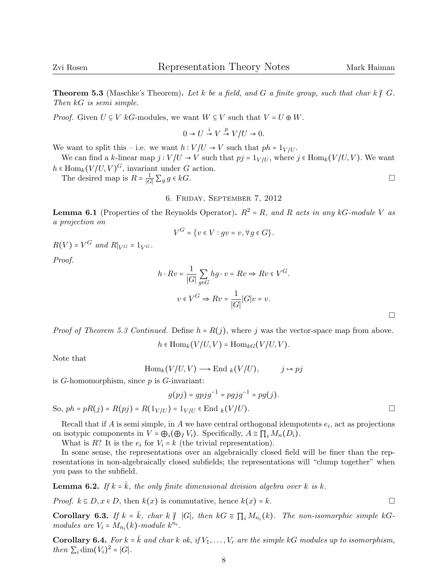**Theorem 5.3** (Maschke's Theorem). Let k be a field, and G a finite group, such that char k  $\emptyset$  G. Then kG is semi simple.

*Proof.* Given  $U \subseteq V$  kG-modules, we want  $W \subseteq V$  such that  $V = U \oplus W$ .

$$
0 \to U \stackrel{i}{\to} V \stackrel{p}{\to} V/U \to 0.
$$

We want to split this – i.e. we want  $h: V/U \to V$  such that  $ph = 1_{V/U}$ .

We can find a k-linear map  $j: V/U \to V$  such that  $pj = 1_{V/U}$ , where  $j \in Hom_k(V/U, V)$ . We want  $h \in \text{Hom}_k(V/U, V)^G$ , invariant under G action.<br>The desired were is  $R = \frac{1}{2} \sum_{k=0}^{n} kC_k$ 

The desired map is  $R = \frac{1}{|G|} \sum_g g \in kG$ .

6. Friday, September 7, 2012

**Lemma 6.1** (Properties of the Reynolds Operator).  $R^2 = R$ , and R acts in any kG-module V as a projection on

$$
V^G = \{ v \in V : gv = v, \forall g \in G \}.
$$

 $R(V) = V^G$  and  $R|_{V^G} = 1_{V^G}$ .

Proof.

$$
h \cdot Rv = \frac{1}{|G|} \sum_{g \in G} hg \cdot v = Rv \Rightarrow Rv \in V^G.
$$
  

$$
v \in V^G \Rightarrow Rv = \frac{1}{|G|} |G| v = v.
$$

*Proof of Theorem 5.3 Continued.* Define  $h = R(j)$ , where j was the vector-space map from above.

 $h \in \text{Hom}_k(V/U, V) = \text{Hom}_{kG}(V/U, V).$ 

Note that

$$
\operatorname{Hom}_k(V/U, V) \longrightarrow \operatorname{End}_k(V/U), \qquad j \mapsto pj
$$

is G-homomorphism, since  $p$  is G-invariant:

$$
g(pj) = g p j g^{-1} = p g j g^{-1} = p g(j).
$$

So, 
$$
ph = pR(j) = R(pj) = R(1_{V/U}) = 1_{V/U} \in \text{End } k(V/U)
$$
.

Recall that if A is semi simple, in A we have central orthogonal idempotents  $e_i$ , act as projections on isotypic components in  $V = \bigoplus_i (\bigoplus_I V_i)$ . Specifically,  $A \cong \prod_i M_n(D_i)$ .

What is R? It is the  $e_i$  for  $V_i = k$  (the trivial representation).

In some sense, the representations over an algebraically closed field will be finer than the representations in non-algebraically closed subfields; the representations will "clump together" when you pass to the subfield.

**Lemma 6.2.** If  $k = \overline{k}$ , the only finite dimensional division algebra over k is k.

*Proof.*  $k \in D$ ,  $x \in D$ , then  $k(x)$  is commutative, hence  $k(x) = k$ .

**Corollary 6.3.** If  $k = \overline{k}$ , char  $k \not| |G|$ , then  $kG \cong \prod_i M_{n_i}(k)$ . The non-isomorphic simple  $kG$ -<br>modules are  $V = M_{n_i}(k)$  module  $k_n$ . modules are  $V_i = M_{n_i}(k)$ -module  $k^{n_i}$ .

**Corollary 6.4.** For  $k = \overline{k}$  and char k ok, if  $V_1, \ldots, V_r$  are the simple kG modules up to isomorphism, then  $\sum_i \dim(V_i)^2 = |G|$ .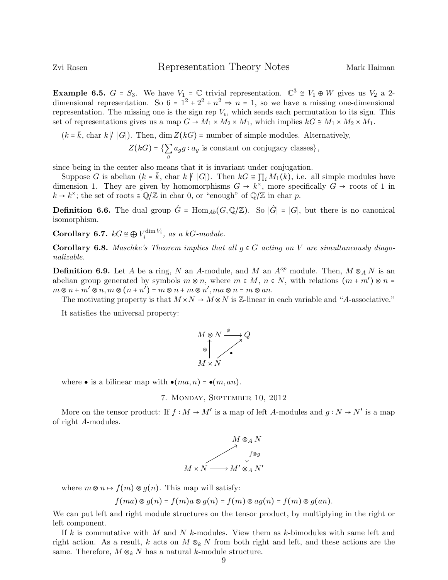Example 6.5. <sup>G</sup> <sup>=</sup> <sup>S</sup>3. We have <sup>V</sup><sup>1</sup> <sup>=</sup> <sup>C</sup> trivial representation. <sup>C</sup> 3 <sup>≅</sup> <sup>V</sup><sup>1</sup> <sup>⊕</sup> <sup>W</sup> gives us <sup>V</sup><sup>2</sup> a 2 dimensional representation. So  $6 = 1^2 + 2^2 + n^2 \Rightarrow n = 1$ , so we have a missing one-dimensional<br>representation. The missing one is the sign pape V, which sands sach negroutation to its sign. This representation. The missing one is the sign rep  $V_{\epsilon}$ , which sends each permutation to its sign. This set of representations gives us a map  $G \to M_1 \times M_2 \times M_1$ , which implies  $kG \cong M_1 \times M_2 \times M_1$ .

$$
(k = \bar{k}, \text{ char } k \nmid |G|). \text{ Then, dim } Z(kG) = \text{number of simple modules. Alternatively,}
$$

$$
Z(kG) = \{ \sum_{g} a_g g : a_g \text{ is constant on conjugacy classes} \},
$$

since being in the center also means that it is invariant under conjugation.

Suppose G is abelian  $(k = \overline{k}, \text{char } k \not\mid |G|)$ . Then  $kG \cong \prod_i M_1(k)$ , i.e. all simple modules have dimension 1. They are given by homomorphisms  $G \to k^*$ , more specifically  $G \to \text{roots of 1 in }$  $k \to k^{\times}$ ; the set of roots  $\cong \mathbb{Q}/\mathbb{Z}$  in char 0, or "enough" of  $\mathbb{Q}/\mathbb{Z}$  in char p.

**Definition 6.6.** The dual group  $\hat{G}$  = Hom<sub>Ab</sub>( $G, \mathbb{Q}/\mathbb{Z}$ ). So  $|\hat{G}| = |G|$ , but there is no canonical isomorphism.

**Corollary 6.7.**  $kG \cong \bigoplus V_i^{\dim V_i}$ , as a kG-module.

Corollary 6.8. Maschke's Theorem implies that all  $g \in G$  acting on V are simultaneously diagonalizable.

**Definition 6.9.** Let A be a ring, N an A-module, and M an  $A^{op}$  module. Then,  $M \otimes_A N$  is an abelian group generated by symbols  $m \otimes n$ , where  $m \in M$ ,  $n \in N$ , with relations  $(m + m') \otimes n =$ <br> $m \otimes n + m' \otimes n$ ,  $m \otimes (m + n') = m \otimes n + m \otimes n'$ ,  $m \otimes n = m \otimes q$  $m \otimes n + m' \otimes n, m \otimes (n + n') = m \otimes n + m \otimes n', ma \otimes n = m \otimes an.$ <br>The mativating property is that  $M \circ N \circ M \otimes N$  is  $\mathbb{Z}$  linear in

The motivating property is that  $M \times N \to M \otimes N$  is Z-linear in each variable and "A-associative."

It satisfies the universal property:



where  $\bullet$  is a bilinear map with  $\bullet (ma, n) = \bullet (m, an)$ .



More on the tensor product: If  $f : M \to M'$  is a map of left A-modules and  $g : N \to N'$  is a map of right A-modules.



where  $m \otimes n \mapsto f(m) \otimes q(n)$ . This map will satisfy:

 $f(ma) \otimes g(n) = f(m)a \otimes g(n) = f(m) \otimes ag(n) = f(m) \otimes g(an).$ 

We can put left and right module structures on the tensor product, by multiplying in the right or left component.

If k is commutative with M and N k-modules. View them as k-bimodules with same left and right action. As a result, k acts on  $M \otimes_k N$  from both right and left, and these actions are the same. Therefore,  $M \otimes_k N$  has a natural k-module structure.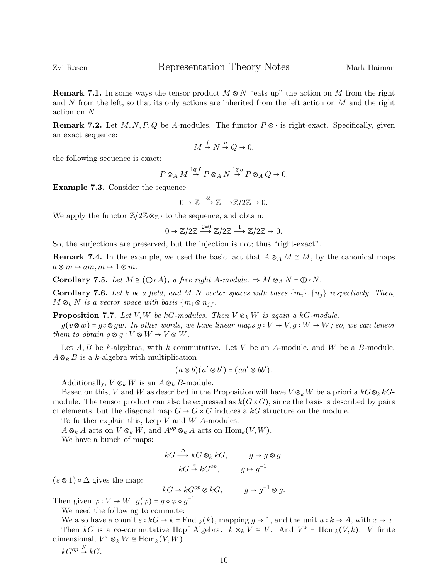**Remark 7.1.** In some ways the tensor product  $M \otimes N$  "eats up" the action on M from the right and  $N$  from the left, so that its only actions are inherited from the left action on  $M$  and the right action on N.

**Remark 7.2.** Let  $M, N, P, Q$  be A-modules. The functor  $P \otimes \cdot$  is right-exact. Specifically, given an exact sequence:

$$
M \xrightarrow{f} N \xrightarrow{g} Q \to 0,
$$

the following sequence is exact:

$$
P\otimes_A M \stackrel{1\otimes f}{\to} P\otimes_A N \stackrel{1\otimes g}{\to} P\otimes_A Q \to 0.
$$

Example 7.3. Consider the sequence

$$
0 \to \mathbb{Z} \xrightarrow{2} \mathbb{Z} \longrightarrow \mathbb{Z}/2\mathbb{Z} \to 0.
$$

We apply the functor  $\mathbb{Z}/2\mathbb{Z} \otimes_{\mathbb{Z}} \cdot$  to the sequence, and obtain:

$$
0 \to \mathbb{Z}/2\mathbb{Z} \xrightarrow{2=0} \mathbb{Z}/2\mathbb{Z} \xrightarrow{1} \mathbb{Z}/2\mathbb{Z} \to 0.
$$

So, the surjections are preserved, but the injection is not; thus "right-exact".

**Remark 7.4.** In the example, we used the basic fact that  $A \otimes_A M \cong M$ , by the canonical maps  $a \otimes m \mapsto am, m \mapsto 1 \otimes m$ .

Corollary 7.5. Let  $M \cong (\bigoplus_{I} A)$ , a free right A-module.  $\Rightarrow M \otimes_A N = \bigoplus_{I} N$ .

**Corollary 7.6.** Let k be a field, and M, N vector spaces with bases  $\{m_i\}, \{n_i\}$  respectively. Then,  $M \otimes_k N$  is a vector space with basis  $\{m_i \otimes n_j\}.$ 

**Proposition 7.7.** Let V, W be kG-modules. Then  $V \otimes_k W$  is again a kG-module.

 $g(v\otimes w)$  = gv $\otimes g w$ . In other words, we have linear maps  $g: V \to V, g: W \to W$ ; so, we can tensor them to obtain  $g \otimes g : V \otimes W \to V \otimes W$ .

Let  $A, B$  be k-algebras, with k commutative. Let V be an A-module, and W be a B-module.  $A \otimes_k B$  is a k-algebra with multiplication

$$
(a\otimes b)(a'\otimes b')=(aa'\otimes bb').
$$

Additionally,  $V \otimes_k W$  is an  $A \otimes_k B$ -module.

Based on this, V and W as described in the Proposition will have  $V \otimes_k W$  be a priori a  $kG \otimes_k kG$ module. The tensor product can also be expressed as  $k(G\times G)$ , since the basis is described by pairs of elements, but the diagonal map  $G \rightarrow G \times G$  induces a kG structure on the module.

To further explain this, keep  $V$  and  $W$  A-modules.

 $A \otimes_k A$  acts on  $V \otimes_k W$ , and  $A^{op} \otimes_k A$  acts on  $\text{Hom}_k(V, W)$ .

We have a bunch of maps:

$$
kG \xrightarrow{\Delta} kG \otimes_k kG, \qquad g \mapsto g \otimes g.
$$
  

$$
kG \xrightarrow{s} kG^{op}, \qquad g \mapsto g^{-1}.
$$

 $(s \otimes 1) \circ \Delta$  gives the map:

 $kG \to kG^{op} \otimes kG, \qquad g \mapsto g^{-1} \otimes g.$ 

Then given  $\varphi: V \to W$ ,  $g(\varphi) = g \circ \varphi \circ g^{-1}$ .<br>We need the following to commute.

We need the following to commute:

We also have a counit  $\varepsilon : kG \to k = \text{End } k(k)$ , mapping  $g \mapsto 1$ , and the unit  $u : k \to A$ , with  $x \mapsto x$ . Then  $kG$  is a co-commutative Hopf Algebra.  $k \otimes_k V \cong V$ . And  $V^* = \text{Hom}_k(V, k)$ . V finite dimensional,  $V^* \otimes_k W \cong \text{Hom}_k(V, W)$ .

 $kG^{op} \stackrel{S}{\rightarrow} kG.$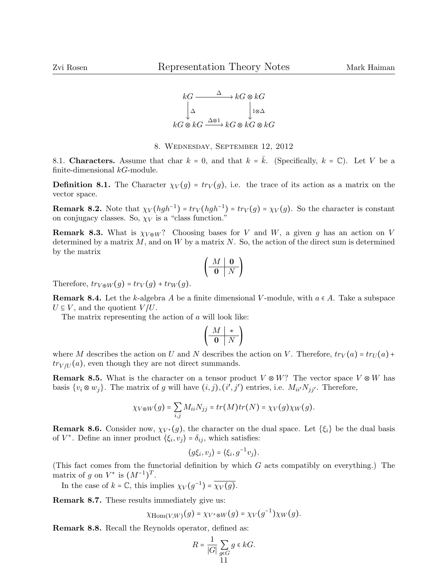

8. Wednesday, September 12, 2012

8.1. Characters. Assume that char  $k = 0$ , and that  $k = \overline{k}$ . (Specifically,  $k = \mathbb{C}$ ). Let V be a finite-dimensional  $kG$ -module.

**Definition 8.1.** The Character  $\chi_V(g) = tr_V(g)$ , i.e. the trace of its action as a matrix on the vector space.

**Remark 8.2.** Note that  $\chi_V(hgh^{-1}) = tr_V(hgh^{-1}) = tr_V(g) = \chi_V(g)$ . So the character is constant on conjugacy classes. So,  $\chi_V$  is a "class function."

**Remark 8.3.** What is  $\chi_{V \oplus W}$ ? Choosing bases for V and W, a given g has an action on V determined by a matrix  $M$ , and on  $W$  by a matrix  $N$ . So, the action of the direct sum is determined by the matrix

$$
\left(\begin{array}{c|c}M & \mathbf{0} \\ \hline \mathbf{0} & N\end{array}\right)
$$

Therefore,  $tr_{V \oplus W}(q) = tr_{V}(q) + tr_{W}(q)$ .

**Remark 8.4.** Let the k-algebra A be a finite dimensional V-module, with  $a \in A$ . Take a subspace  $U \subseteq V$ , and the quotient  $V/U$ .

The matrix representing the action of a will look like:

$$
\left(\begin{array}{c|c}M & \ast\\\hline \textbf{0} & N\end{array}\right)
$$

where M describes the action on U and N describes the action on V. Therefore,  $tr_V(a) = tr_U(a) +$  $tr_{V/U}(a)$ , even though they are not direct summands.

**Remark 8.5.** What is the character on a tensor product  $V \otimes W$ ? The vector space  $V \otimes W$  has basis  $\{v_i \otimes w_j\}$ . The matrix of g will have  $(i, j), (i', j')$  entries, i.e.  $M_{ii'}N_{jj'}$ . Therefore,

$$
\chi_{V\otimes W}(g)=\sum_{i,j}M_{ii}N_{jj}=tr(M)tr(N)=\chi_V(g)\chi_W(g).
$$

**Remark 8.6.** Consider now,  $\chi_{V^*}(g)$ , the character on the dual space. Let  $\{\xi_i\}$  be the dual basis of  $V^*$ . Define an inner product  $\langle \xi_i, v_j \rangle = \delta_{ij}$ , which satisfies:

$$
\langle g\xi_i, v_j \rangle = \langle \xi_i, g^{-1}v_j \rangle.
$$

(This fact comes from the functorial definition by which G acts compatibly on everything.) The matrix of g on  $V^*$  is  $(M^{-1})^T$ .

In the case of  $k = \mathbb{C}$ , this implies  $\chi_V(g^{-1}) = \overline{\chi_V(g)}$ .

Remark 8.7. These results immediately give us:

$$
\chi_{\mathrm{Hom}(V,W)}(g) = \chi_{V^* \otimes W}(g) = \chi_V(g^{-1}) \chi_W(g).
$$

Remark 8.8. Recall the Reynolds operator, defined as:

$$
R = \frac{1}{|G|} \sum_{g \in G} g \in kG.
$$
11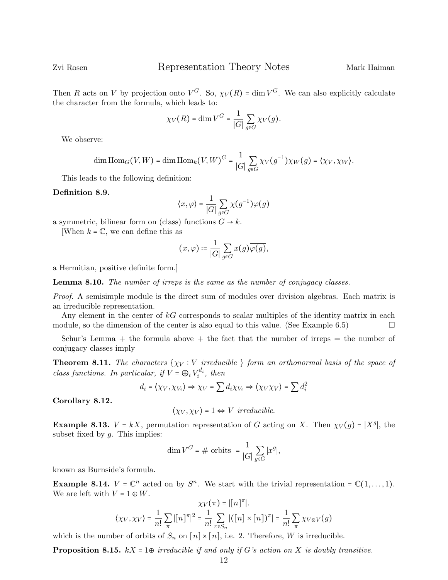Then R acts on V by projection onto  $V^G$ . So,  $\chi_V(R) = \dim V^G$ . We can also explicitly calculate the character from the formula, which leads to:

$$
\chi_V(R) = \dim V^G = \frac{1}{|G|} \sum_{g \in G} \chi_V(g).
$$

We observe:

$$
\dim \text{Hom}_G(V, W) = \dim \text{Hom}_k(V, W)^G = \frac{1}{|G|} \sum_{g \in G} \chi_V(g^{-1}) \chi_W(g) = \langle \chi_V, \chi_W \rangle.
$$

This leads to the following definition:

## Definition 8.9.

$$
\langle x, \varphi \rangle = \frac{1}{|G|} \sum_{g \in G} \chi(g^{-1}) \varphi(g)
$$

a symmetric, bilinear form on (class) functions  $G \rightarrow k$ .

[When  $k = \mathbb{C}$ , we can define this as

$$
(x,\varphi)\coloneqq\frac{1}{|G|}\sum_{g\in G}x(g)\overline{\varphi(g)},
$$

a Hermitian, positive definite form.]

Lemma 8.10. The number of irreps is the same as the number of conjugacy classes.

*Proof.* A semisimple module is the direct sum of modules over division algebras. Each matrix is an irreducible representation.

Any element in the center of  $kG$  corresponds to scalar multiples of the identity matrix in each module, so the dimension of the center is also equal to this value. (See Example 6.5)  $\Box$ 

Schur's Lemma  $+$  the formula above  $+$  the fact that the number of irreps  $=$  the number of conjugacy classes imply

**Theorem 8.11.** The characters  $\{\chi_V : V \text{ irreducible }\}$  form an orthonormal basis of the space of class functions. In particular, if  $V = \bigoplus_i V_i^{d_i}$ , then

$$
d_i = \langle \chi_V, \chi_{V_i} \rangle \Rightarrow \chi_V = \sum d_i \chi_{V_i} \Rightarrow \langle \chi_V \chi_V \rangle = \sum d_i^2
$$

Corollary 8.12.

$$
\langle \chi_V, \chi_V \rangle = 1 \Leftrightarrow V \ irreducible.
$$

Example 8.13.  $V = kX$ , permutation representation of G acting on X. Then  $\chi_V(g) = |X^g|$ , the subset fixed by  $g$ . This implies:

$$
\dim V^G = \# \text{ orbits } = \frac{1}{|G|} \sum_{g \in G} |x^g|,
$$

known as Burnside's formula.

**Example 8.14.**  $V = \mathbb{C}^n$  acted on by  $S^n$ . We start with the trivial representation =  $\mathbb{C}(1,\ldots,1)$ . We are left with  $V = 1 \oplus W$ .

$$
\chi_V(\pi) = |[n]^\pi|.
$$
  

$$
\langle \chi_V, \chi_V \rangle = \frac{1}{n!} \sum_{\pi} |[n]^\pi|^2 = \frac{1}{n!} \sum_{\pi \in S_n} |([n] \times [n])^\pi| = \frac{1}{n!} \sum_{\pi} \chi_{V \otimes V}(g)
$$

which is the number of orbits of  $S_n$  on  $[n] \times [n]$ , i.e. 2. Therefore, W is irreducible.

**Proposition 8.15.** kX = 1 $\oplus$  irreducible if and only if G's action on X is doubly transitive.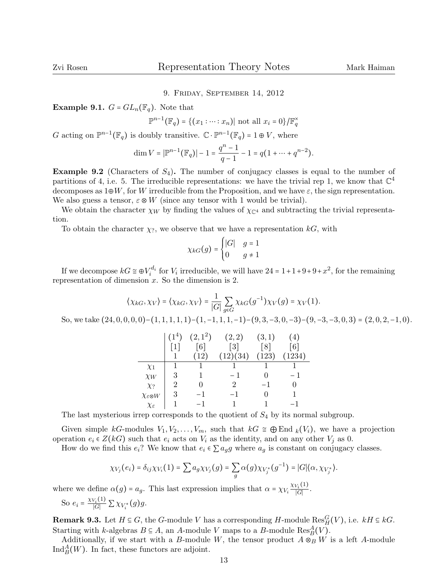## 9. Friday, September 14, 2012

**Example 9.1.**  $G = GL_n(\mathbb{F}_q)$ . Note that

 $\mathbb{P}^{n-1}(\mathbb{F}_q) = \{(x_1 : \dots : x_n) | \text{ not all } x_i = 0\} / \mathbb{F}_q^{\times}$ 

G acting on  $\mathbb{P}^{n-1}(\mathbb{F}_q)$  is doubly transitive.  $\mathbb{C} \cdot \mathbb{P}^{n-1}(\mathbb{F}_q) = 1 \oplus V$ , where

$$
\dim V = |\mathbb{P}^{n-1}(\mathbb{F}_q)| - 1 = \frac{q^n - 1}{q - 1} - 1 = q(1 + \dots + q^{n-2}).
$$

**Example 9.2** (Characters of  $S_4$ ). The number of conjugacy classes is equal to the number of partitions of 4, i.e. 5. The irreducible representations: we have the trivial rep 1, we know that  $\mathbb{C}^4$ decomposes as  $1 \oplus W$ , for W irreducible from the Proposition, and we have  $\varepsilon$ , the sign representation. We also guess a tensor,  $\varepsilon \otimes W$  (since any tensor with 1 would be trivial).

We obtain the character  $\chi_W$  by finding the values of  $\chi_{\mathbb{C}^4}$  and subtracting the trivial representation.

To obtain the character  $\chi_?$ , we observe that we have a representation  $kG$ , with

$$
\chi_{kG}(g) = \begin{cases} |G| & g = 1 \\ 0 & g \neq 1 \end{cases}
$$

If we decompose  $kG \cong \bigoplus V_i^{d_i}$  for  $V_i$  irreducible, we will have  $24 = 1 + 1 + 9 + 9 + x^2$ , for the remaining representation of dimension  $x$ . So the dimension is 2.

$$
\langle \chi_{kG}, \chi_V \rangle = \langle \chi_{kG}, \chi_V \rangle = \frac{1}{|G|} \sum_{g \in G} \chi_{kG}(g^{-1}) \chi_V(g) = \chi_V(1).
$$

So, we take  $(24, 0, 0, 0, 0)$ − $(1, 1, 1, 1, 1)$ − $(1, -1, 1, 1, -1)$ − $(9, 3, -3, 0, -3)$ − $(9, -3, -3, 0, 3)$  =  $(2, 0, 2, -1, 0)$ .

|                               | $(1^4)$           | $(2,1^2)$         | (2,2)             | (3,1)             | (4)               |
|-------------------------------|-------------------|-------------------|-------------------|-------------------|-------------------|
|                               | $\lceil 1 \rceil$ | $\lceil 6 \rceil$ | $\lceil 3 \rceil$ | $\lceil 8 \rceil$ | $\lceil 6 \rceil$ |
|                               |                   | (12)              | (12)(34)          | (123)             | (1234)            |
| $\chi_1$                      |                   |                   |                   |                   |                   |
| $\chi_W$                      | 3                 |                   | $-1$              | $\mathbf{0}$      | - 1               |
| $\chi_?$                      | 2                 |                   | $\mathfrak{D}$    | $-1$              | 0                 |
| $\chi_{\varepsilon\otimes W}$ | 3                 | $-1$              | -1                | $\mathbf{0}$      |                   |
| $\chi_\varepsilon$            |                   | $-1$              | 1                 |                   | $-1$              |

The last mysterious irrep corresponds to the quotient of  $S_4$  by its normal subgroup.

Given simple kG-modules  $V_1, V_2, \ldots, V_m$ , such that  $kG \cong \bigoplus \text{End }_k(V_i)$ , we have a projection operation  $e_i \in Z(kG)$  such that  $e_i$  acts on  $V_i$  as the identity, and on any other  $V_j$  as 0.

How do we find this  $e_i$ ? We know that  $e_i \in \sum a_q g$  where  $a_q$  is constant on conjugacy classes.

$$
\chi_{V_j}(e_i)=\delta_{ij}\chi_{V_i}(1)=\sum a_g\chi_{V_j}(g)=\sum_g \alpha(g)\chi_{V_j^*}(g^{-1})=|G|\langle \alpha,\chi_{V_j^*}\rangle.
$$

where we define  $\alpha(g) = a_g$ . This last expression implies that  $\alpha = \chi_{V_i} \frac{\chi_{V_i}(1)}{|G|}$  $\frac{\sqrt{i'}(1)}{|G|}$ .

So 
$$
e_i = \frac{\chi_{V_i}(1)}{|G|} \sum \chi_{V_i^*}(g)g.
$$

**Remark 9.3.** Let  $H \subseteq G$ , the G-module V has a corresponding H-module  $\text{Res}_{H}^{G}(V)$ , i.e.  $kH \subseteq kG$ . Starting with k-algebras  $B \subseteq A$ , an A-module V maps to a B-module  $Res^A_B(V)$ .

Additionally, if we start with a B-module W, the tensor product  $A \otimes_B W$  is a left A-module  $\text{Ind}_{B}^{A}(W)$ . In fact, these functors are adjoint.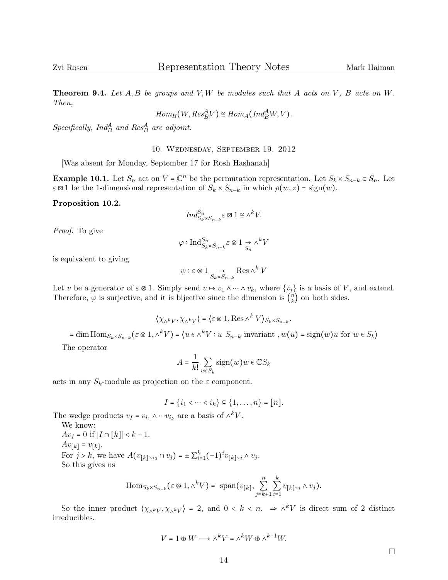**Theorem 9.4.** Let  $A, B$  be groups and  $V, W$  be modules such that  $A$  acts on  $V, B$  acts on  $W$ . Then,

$$
Hom_B(W, Res^A_B V) \cong Hom_A(Ind^A_B W, V).
$$

 $Specifically, Ind_B^A$  and  $Res_B^A$  are adjoint.

10. Wednesday, September 19. 2012

[Was absent for Monday, September 17 for Rosh Hashanah]

**Example 10.1.** Let  $S_n$  act on  $V = \mathbb{C}^n$  be the permutation representation. Let  $S_k \times S_{n-k} \subset S_n$ . Let  $\varepsilon \boxtimes 1$  be the 1-dimensional representation of  $S_k \times S_{n-k}$  in which  $\rho(w, z) = \text{sign}(w)$ .

Proposition 10.2.

$$
Ind_{S_k \times S_{n-k}}^{S_n} \varepsilon \boxtimes 1 \cong \wedge^k V.
$$

Proof. To give

$$
\varphi: \operatorname{Ind}_{S_k \times S_{n-k}}^{S_n} \varepsilon \otimes 1 \underset{S_n}{\to} \wedge^k V
$$

is equivalent to giving

$$
\psi : \varepsilon \otimes 1 \underset{S_k \times S_{n-k}}{\to} \text{Res } \wedge^k V
$$

Let v be a generator of  $\varepsilon \otimes 1$ . Simply send  $v \mapsto v_1 \wedge \cdots \wedge v_k$ , where  $\{v_i\}$  is a basis of V, and extend. Therefore,  $\varphi$  is surjective, and it is bijective since the dimension is  $\binom{n}{k}$  $\binom{n}{k}$  on both sides.

$$
\langle \chi_{\wedge^k V}, \chi_{\wedge^k V} \rangle = \langle \varepsilon \boxtimes 1, \text{Res } \wedge^k V \rangle_{S_k \times S_{n-k}}.
$$
  
= dim Hom<sub>S<sub>k</sub>×S<sub>n-k</sub></sub>( $\varepsilon \otimes 1, \wedge^k V$ ) =  $\langle u \in \wedge^k V : u \ S_{n-k}$ -invariant,  $w(u) = \text{sign}(w)u$  for  $w \in S_k$   
The operator

$$
A = \frac{1}{k!} \sum_{w \in S_k} sign(w)w \in \mathbb{C}S_k
$$

acts in any  $S_k$ -module as projection on the  $\varepsilon$  component.

$$
I = \{i_1 < \dots < i_k\} \subseteq \{1, \dots, n\} = [n].
$$

The wedge products  $v_I = v_{i_1} \wedge \cdots v_{i_k}$  are a basis of  $\wedge^k V$ .

We know:  $Av_I = 0$  if  $|I \cap [k]| < k-1$ .  $Av_{[k]} = v_{[k]}.$ For  $j > k$ , we have  $A(v_{[k] \setminus i_0} \cap v_j) = \pm \sum_{i=1}^k (-1)^i v_{[k] \setminus i} \wedge v_j$ . So this gives us

$$
\mathrm{Hom}_{S_k \times S_{n-k}}(\varepsilon \otimes 1, \wedge^k V) = \mathrm{span}(v_{[k]}, \sum_{j=k+1}^n \sum_{i=1}^k v_{[k] \setminus i} \wedge v_j).
$$

So the inner product  $\langle \chi_{\wedge^k V}, \chi_{\wedge^k V} \rangle = 2$ , and  $0 \le k \le n$ .  $\Rightarrow \wedge^k V$  is direct sum of 2 distinct irreducibles.

$$
V = 1 \oplus W \longrightarrow \wedge^k V = \wedge^k W \oplus \wedge^{k-1} W.
$$

 $\Box$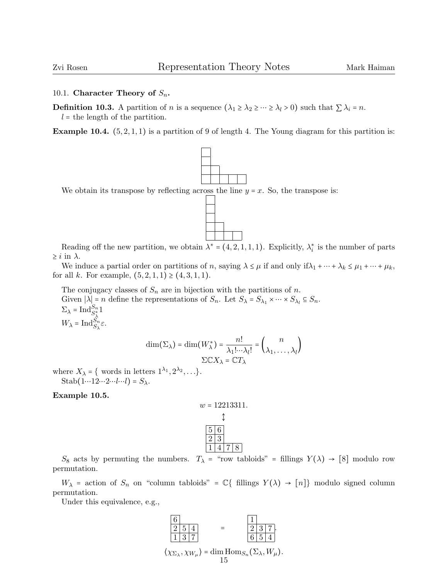# 10.1. Character Theory of  $S_n$ .

**Definition 10.3.** A partition of *n* is a sequence  $(\lambda_1 \geq \lambda_2 \geq \cdots \geq \lambda_l > 0)$  such that  $\sum \lambda_i = n$ .  $l =$  the length of the partition.

**Example 10.4.**  $(5, 2, 1, 1)$  is a partition of 9 of length 4. The Young diagram for this partition is:



Reading off the new partition, we obtain  $\lambda^* = (4, 2, 1, 1, 1)$ . Explicitly,  $\lambda_i^*$  is the number of parts  $\geq i$  in  $\lambda$ .

We induce a partial order on partitions of n, saying  $\lambda \leq \mu$  if and only if  $\lambda_1 + \cdots + \lambda_k \leq \mu_1 + \cdots + \mu_k$ , for all k. For example,  $(5, 2, 1, 1) \ge (4, 3, 1, 1)$ .

The conjugacy classes of  $S_n$  are in bijection with the partitions of n. Given  $|\lambda| = n$  define the representations of  $S_n$ . Let  $S_\lambda = S_{\lambda_1} \times \cdots \times S_{\lambda_l} \subseteq S_n$ .  $\Sigma_{\lambda} = \operatorname{Ind}_{S_{\lambda}^*}^{S_n} 1$  $W_{\lambda} = \text{Ind}_{S_{\lambda}}^{S_n} \varepsilon.$ 

$$
\dim(\Sigma_{\lambda}) = \dim(W_{\lambda}^{*}) = \frac{n!}{\lambda_1! \cdots \lambda_l!} = {n \choose \lambda_1, \dots, \lambda_l}
$$

$$
\Sigma \mathbb{C}X_{\lambda} = \mathbb{C}T_{\lambda}
$$

where  $X_{\lambda} = \{$  words in letters  $1^{\lambda_1}, 2^{\lambda_2}, \ldots \}.$ Stab $(1 \cdots 12 \cdots 2 \cdots l \cdots l) = S_{\lambda}$ .

Example 10.5.

$$
w = 12213311.
$$
  
\n  
\n
$$
\updownarrow
$$
  
\n
$$
\frac{5}{2} \frac{6}{3}
$$
  
\n
$$
\frac{2}{1} \frac{3}{4} \frac{7}{7} \frac{8}{8}
$$

S<sub>8</sub> acts by permuting the numbers.  $T_{\lambda}$  = "row tabloids" = fillings  $Y(\lambda) \rightarrow [8]$  modulo row permutation.

 $W_{\lambda}$  = action of  $S_n$  on "column tabloids" =  $\mathbb{C}\{\text{ fillings } Y(\lambda) \to [n]\}\$  modulo signed column permutation.

Under this equivalence, e.g.,



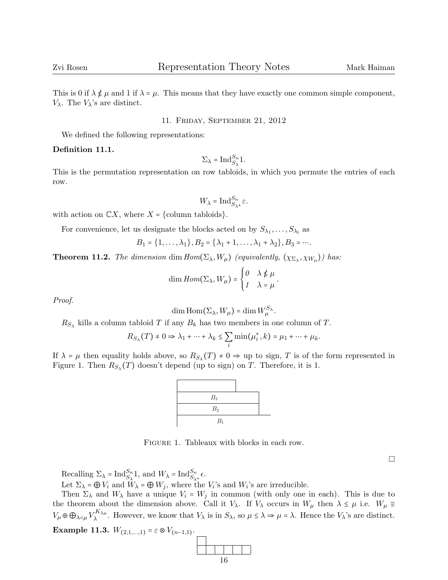This is 0 if  $\lambda \notin \mu$  and 1 if  $\lambda = \mu$ . This means that they have exactly one common simple component,  $V_{\lambda}$ . The  $V_{\lambda}$ 's are distinct.

## 11. Friday, September 21, 2012

We defined the following representations:

## Definition 11.1.

$$
\Sigma_{\lambda} = \mathrm{Ind}_{S_{\lambda}}^{S_n} 1.
$$

This is the permutation representation on row tabloids, in which you permute the entries of each row.

$$
W_{\lambda} = \mathrm{Ind}_{S_{\lambda^*}}^{S_n} \varepsilon.
$$

with action on  $\mathbb{C}X$ , where  $X = \{\text{column tabloids}\}.$ 

For convenience, let us designate the blocks acted on by  $S_{\lambda_1}, \ldots, S_{\lambda_l}$  as

$$
B_1 = \{1, \ldots, \lambda_1\}, B_2 = \{\lambda_1 + 1, \ldots, \lambda_1 + \lambda_2\}, B_3 = \cdots.
$$

**Theorem 11.2.** The dimension dim  $Hom(\Sigma_{\lambda}, W_{\mu})$  (equivalently,  $(\chi_{\Sigma_{\lambda}}, \chi_{W_{\mu}})$ ) has:

dim 
$$
Hom(\Sigma_{\lambda}, W_{\mu}) = \begin{cases} 0 & \lambda \notin \mu \\ 1 & \lambda = \mu \end{cases}
$$
.

Proof.

$$
\dim \operatorname{Hom}(\Sigma_{\lambda}, W_{\mu}) = \dim W_{\mu}^{S_{\lambda}}.
$$

 $R_{S_{\lambda}}$  kills a column tabloid T if any  $B_k$  has two members in one column of T.

$$
R_{S_{\lambda}}(T) \neq 0 \Rightarrow \lambda_1 + \dots + \lambda_k \leq \sum_i \min(\mu_i^*, k) = \mu_1 + \dots + \mu_k.
$$

If  $\lambda = \mu$  then equality holds above, so  $R_{S_{\lambda}}(T) \neq 0 \Rightarrow$  up to sign, T is of the form represented in<br>Figure 1. Then  $P_{\lambda}(T)$  decay't depend (up to sign) or T. Therefore, it is 1. Figure 1. Then  $R_{S_\lambda}(T)$  doesn't depend (up to sign) on T. Therefore, it is 1.



Figure 1. Tableaux with blocks in each row.

Recalling  $\Sigma_{\lambda} = \text{Ind}_{S_{\lambda}}^{S_n} 1$ , and  $W_{\lambda} = \text{Ind}_{S_{\lambda^*}}^{S_n} \epsilon$ .

Let  $\Sigma_{\lambda} = \bigoplus V_i$  and  $W_{\lambda} = \bigoplus W_j$ , where the  $V_i$ 's and  $W_i$ 's are irreducible.

Then  $\Sigma_{\lambda}$  and  $W_{\lambda}$  have a unique  $V_i = W_j$  in common (with only one in each). This is due to the theorem about the dimension above. Call it  $V_\lambda$ . If  $V_\lambda$  occurs in  $W_\mu$  then  $\lambda \leq \mu$  i.e.  $W_\mu \cong$  $V_{\mu} \oplus \bigoplus_{\lambda < \mu} V_{\lambda}^{K_{\lambda \mu}}$  $\lambda_{\lambda}^{K\Lambda_{\lambda\mu}}$ . However, we know that  $V_{\lambda}$  is in  $S_{\lambda}$ , so  $\mu \leq \lambda \Rightarrow \mu = \lambda$ . Hence the  $V_{\lambda}$ 's are distinct. Example 11.3.  $W_{(2,1,...,1)} = \varepsilon \otimes V_{(n-1,1)}$ .

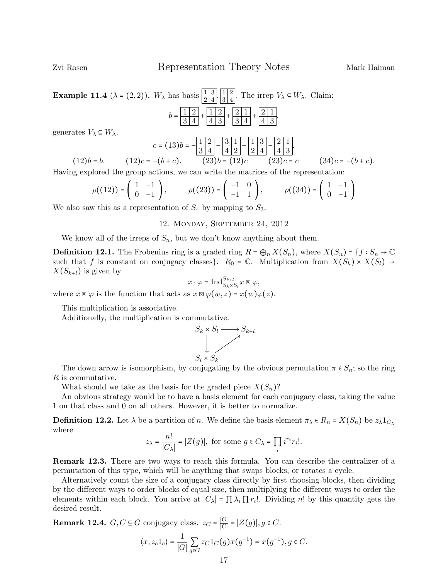**Example 11.4** (
$$
\lambda = (2, 2)
$$
).  $W_{\lambda}$  has basis  $\frac{1}{24}$ ,  $\frac{1}{34}$ . The irrep  $V_{\lambda} \subseteq W_{\lambda}$ . Claim:  

$$
b = \frac{1}{3} \frac{2}{4} + \frac{1}{4} \frac{2}{3} + \frac{2}{34} + \frac{2}{4} \frac{1}{3}.
$$

generates  $V_{\lambda} \subseteq W_{\lambda}$ .

$$
c = (13)b = \frac{|1|2|}{3|4|} - \frac{|3|1|}{4|2|} - \frac{|1|3|}{2|4|} - \frac{|2|1|}{4|3|}.
$$
  
(12)b = b. (12)c = -(b + c). (23)b = (12)c (23)c = c (34)c = -(b + c).

Having explored the group actions, we can write the matrices of the representation:

$$
\rho((12)) = \begin{pmatrix} 1 & -1 \\ 0 & -1 \end{pmatrix}, \qquad \rho((23)) = \begin{pmatrix} -1 & 0 \\ -1 & 1 \end{pmatrix}, \qquad \rho((34)) = \begin{pmatrix} 1 & -1 \\ 0 & -1 \end{pmatrix}
$$

We also saw this as a representation of  $S_4$  by mapping to  $S_3$ .

## 12. Monday, September 24, 2012

We know all of the irreps of  $S_n$ , but we don't know anything about them.

**Definition 12.1.** The Frobenius ring is a graded ring  $R = \bigoplus_n X(S_n)$ , where  $X(S_n) = \{f : S_n \to \mathbb{C}\}$ such that f is constant on conjugacy classes}.  $R_0 = \mathbb{C}$ . Multiplication from  $X(S_k) \times X(S_l) \rightarrow$  $X(S_{k+l})$  is given by

$$
x \cdot \varphi = \operatorname{Ind}_{S_k \times S_l}^{S_{k+l}} x \boxtimes \varphi,
$$

where  $x \boxtimes \varphi$  is the function that acts as  $x \boxtimes \varphi(w, z) = x(w)\varphi(z)$ .

This multiplication is associative.

Additionally, the multiplication is commutative.



The down arrow is isomorphism, by conjugating by the obvious permutation  $\pi \in S_n$ ; so the ring R is commutative.

What should we take as the basis for the graded piece  $X(S_n)$ ?

An obvious strategy would be to have a basis element for each conjugacy class, taking the value 1 on that class and 0 on all others. However, it is better to normalize.

**Definition 12.2.** Let  $\lambda$  be a partition of n. We define the basis element  $\pi_{\lambda} \in R_n = X(S_n)$  be  $z_{\lambda}1_{C_{\lambda}}$ where

$$
z_{\lambda} = \frac{n!}{|C_{\lambda}|} = |Z(g)|
$$
, for some  $g \in C_{\lambda} = \prod_{i} i^{r_i} r_i!$ .

Remark 12.3. There are two ways to reach this formula. You can describe the centralizer of a permutation of this type, which will be anything that swaps blocks, or rotates a cycle.

Alternatively count the size of a conjugacy class directly by first choosing blocks, then dividing by the different ways to order blocks of equal size, then multiplying the different ways to order the elements within each block. You arrive at  $|C_\lambda| = \prod \lambda_i \prod r_i!$ . Dividing n! by this quantity gets the desired result.

**Remark 12.4.** 
$$
G, C \subseteq G
$$
 conjugacy class.  $z_C = \frac{|G|}{|C|} = |Z(g)|, g \in C$ .  

$$
\langle x, z_c 1_c \rangle = \frac{1}{|G|} \sum_{g \in G} z_C 1_C(g) x(g^{-1}) = x(g^{-1}), g \in C.
$$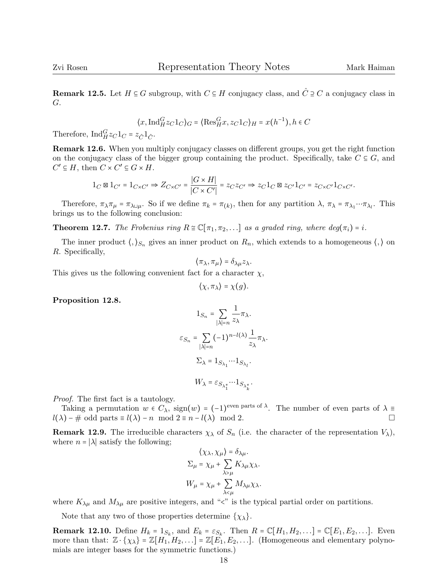Remark 12.5. Let  $H \subseteq G$  subgroup, with  $C \subseteq H$  conjugacy class, and  $\hat{C} \supseteq C$  a conjugacy class in G.

$$
\langle x, \operatorname{Ind}_{H}^{G} z_C 1_C \rangle_G = \langle \operatorname{Res}_{H}^{G} x, z_C 1_C \rangle_H = x(h^{-1}), h \in C
$$

Therefore,  $\text{Ind}_{H}^{G} z_C 1_C = z_{\hat{C}} 1_{\hat{C}}.$ 

Remark 12.6. When you multiply conjugacy classes on different groups, you get the right function on the conjugacy class of the bigger group containing the product. Specifically, take  $C \subseteq G$ , and  $C' \subseteq H$ , then  $C \times C' \subseteq G \times H$ .

$$
1_C \boxtimes 1_{C'} = 1_{C \times C'} \Rightarrow Z_{C \times C'} = \frac{|G \times H|}{|C \times C'|} = z_C z_{C'} \Rightarrow z_C 1_C \boxtimes z_{C'} 1_{C'} = z_{C \times C'} 1_{C \times C'}.
$$

Therefore,  $\pi_{\lambda}\pi_{\mu} = \pi_{\lambda \sqcup \mu}$ . So if we define  $\pi_{k} = \pi_{(k)}$ , then for any partition  $\lambda$ ,  $\pi_{\lambda} = \pi_{\lambda_1} \cdots \pi_{\lambda_l}$ . This brings us to the following conclusion:

**Theorem 12.7.** The Frobenius ring  $R \cong \mathbb{C}[\pi_1, \pi_2, \ldots]$  as a graded ring, where  $deg(\pi_i) = i$ .

The inner product  $\langle , \rangle_{S_n}$  gives an inner product on  $R_n$ , which extends to a homogeneous  $\langle , \rangle$  on R. Specifically,

$$
\langle \pi_{\lambda}, \pi_{\mu} \rangle = \delta_{\lambda \mu} z_{\lambda}.
$$

This gives us the following convenient fact for a character  $\chi$ ,

$$
\langle \chi, \pi_\lambda \rangle = \chi(g).
$$

Proposition 12.8.

$$
1_{S_n} = \sum_{|\lambda|=n} \frac{1}{z_{\lambda}} \pi_{\lambda}.
$$

$$
\varepsilon_{S_n} = \sum_{|\lambda|=n} (-1)^{n-l(\lambda)} \frac{1}{z_{\lambda}} \pi_{\lambda}.
$$

$$
\Sigma_{\lambda} = 1_{S_{\lambda_1}} \cdots 1_{S_{\lambda_l}}.
$$

$$
W_{\lambda} = \varepsilon_{S_{\lambda_1^*}} \cdots 1_{S_{\lambda_k^*}}.
$$

Proof. The first fact is a tautology.

Taking a permutation  $w \in C_{\lambda}$ ,  $\text{sign}(w) = (-1)^{\text{even parts of }\lambda}$ . The number of even parts of  $\lambda \equiv$  $l(\lambda) - \text{\# odd parts} \equiv l(\lambda) - n \mod 2 \equiv n - l(\lambda) \mod 2.$ 

**Remark 12.9.** The irreducible characters  $\chi_{\lambda}$  of  $S_n$  (i.e. the character of the representation  $V_{\lambda}$ ), where  $n = |\lambda|$  satisfy the following;

$$
\langle \chi_{\lambda}, \chi_{\mu} \rangle = \delta_{\lambda \mu}.
$$
  

$$
\Sigma_{\mu} = \chi_{\mu} + \sum_{\lambda > \mu} K_{\lambda \mu} \chi_{\lambda}.
$$
  

$$
W_{\mu} = \chi_{\mu} + \sum_{\lambda < \mu} M_{\lambda \mu} \chi_{\lambda}.
$$

where  $K_{\lambda\mu}$  and  $M_{\lambda\mu}$  are positive integers, and " $\lt$ " is the typical partial order on partitions.

Note that any two of those properties determine  $\{\chi_{\lambda}\}.$ 

**Remark 12.10.** Define  $H_k = 1_{S_k}$ , and  $E_k = \varepsilon_{S_k}$ . Then  $R = \mathbb{C}[H_1, H_2, \ldots] = \mathbb{C}[E_1, E_2, \ldots]$ . Even more than that:  $\mathbb{Z} \cdot {\chi_{\lambda}} = \mathbb{Z}[H_1, H_2, \ldots] = \mathbb{Z}[E_1, E_2, \ldots]$ . (Homogeneous and elementary polynomials are integer bases for the symmetric functions.)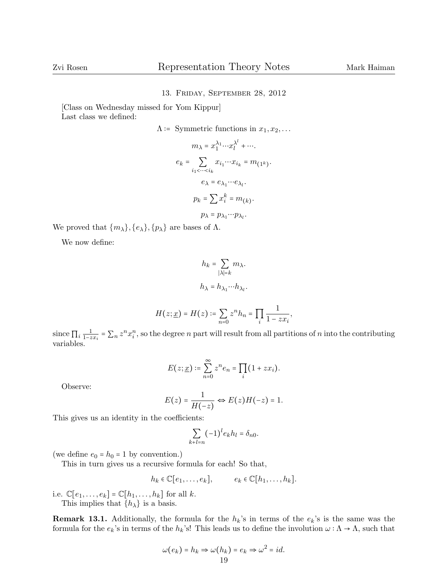## 13. Friday, September 28, 2012

[Class on Wednesday missed for Yom Kippur] Last class we defined:

$$
\Lambda \coloneqq \text{Symmetric functions in } x_1, x_2, \dots
$$

$$
m_{\lambda} = x_1^{\lambda_1} \cdots x_l^{\lambda^l} + \cdots
$$

$$
e_k = \sum_{i_1 < \cdots < i_k} x_{i_1} \cdots x_{i_k} = m_{(1^k)}.
$$

$$
e_{\lambda} = e_{\lambda_1} \cdots e_{\lambda_l}.
$$

$$
p_k = \sum x_i^k = m_{(k)}.
$$

$$
p_{\lambda} = p_{\lambda_1} \cdots p_{\lambda_l}.
$$

We proved that  $\{m_{\lambda}\}, \{e_{\lambda}\}, \{p_{\lambda}\}\$ are bases of  $\Lambda$ .

We now define:

$$
h_k = \sum_{|\lambda|=k} m_{\lambda}.
$$
  

$$
h_{\lambda} = h_{\lambda_1} \cdots h_{\lambda_l}.
$$

$$
H(z; \underline{x}) = H(z) \coloneqq \sum_{n=0} z^n h_n = \prod_i \frac{1}{1 - zx_i},
$$

since  $\prod_i \frac{1}{1-z}$  $\frac{1}{1-zx_i} = \sum_n z^n x_i^n$ , so the degree n part will result from all partitions of n into the contributing variables.

$$
E(z; \underline{x}) \coloneqq \sum_{n=0}^{\infty} z^n e_n = \prod_i (1 + zx_i).
$$

Observe:

$$
E(z) = \frac{1}{H(-z)} \Leftrightarrow E(z)H(-z) = 1.
$$

This gives us an identity in the coefficients:

$$
\sum_{k+l=n}(-1)^{l}e_{k}h_{l}=\delta_{n0}.
$$

(we define  $e_0 = h_0 = 1$  by convention.)

This in turn gives us a recursive formula for each! So that,

$$
h_k \in \mathbb{C}[e_1,\ldots,e_k], \qquad e_k \in \mathbb{C}[h_1,\ldots,h_k].
$$

i.e.  $\mathbb{C}[e_1,\ldots,e_k] = \mathbb{C}[h_1,\ldots,h_k]$  for all  $k$ . This implies that  $\{h_{\lambda}\}\$ is a basis.

**Remark 13.1.** Additionally, the formula for the  $h_k$ 's in terms of the  $e_k$ 's is the same was the formula for the  $e_k$ 's in terms of the  $h_k$ 's! This leads us to define the involution  $\omega : \Lambda \to \Lambda$ , such that

$$
\omega(e_k) = h_k \Rightarrow \omega(h_k) = e_k \Rightarrow \omega^2 = id.
$$
  
19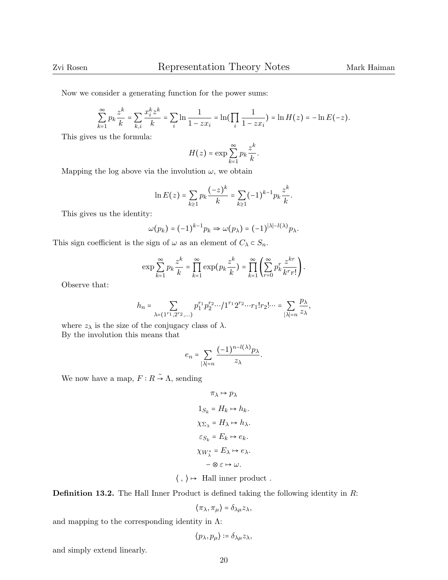Now we consider a generating function for the power sums:

$$
\sum_{k=1}^{\infty} p_k \frac{z^k}{k} = \sum_{k,i} \frac{x_i^k z^k}{k} = \sum_i \ln \frac{1}{1 - zx_i} = \ln \left( \prod_i \frac{1}{1 - zx_i} \right) = \ln H(z) = -\ln E(-z).
$$

This gives us the formula:

$$
H(z) = \exp \sum_{k=1}^{\infty} p_k \frac{z^k}{k}.
$$

Mapping the log above via the involution  $\omega$ , we obtain

$$
\ln E(z) = \sum_{k\geq 1} p_k \frac{(-z)^k}{k} = \sum_{k\geq 1} (-1)^{k-1} p_k \frac{z^k}{k}.
$$

This gives us the identity:

$$
\omega(p_k) = (-1)^{k-1} p_k \Rightarrow \omega(p_\lambda) = (-1)^{|\lambda| - l(\lambda)} p_\lambda.
$$

This sign coefficient is the sign of  $\omega$  as an element of  $C_{\lambda} \subset S_n$ .

$$
\exp\sum_{k=1}^{\infty}p_k\frac{z^k}{k}=\prod_{k=1}^{\infty}\exp\left(p_k\frac{z^k}{k}\right)=\prod_{k=1}^{\infty}\left(\sum_{r=0}^{\infty}p_k^r\frac{z^{kr}}{k^r r!}\right).
$$

Observe that:

$$
h_n=\sum_{\lambda=(1^{r_1},2^{r_2},\dots)}p_1^{r_1}p_2^{r_2} \cdots/1^{r_1}2^{r_2} \cdots r_1!r_2! \cdots=\sum_{|\lambda|=n}\frac{p_\lambda}{z_\lambda},
$$

where  $z_{\lambda}$  is the size of the conjugacy class of  $\lambda$ . By the involution this means that

$$
e_n = \sum_{|\lambda|=n} \frac{(-1)^{n-l(\lambda)} p_\lambda}{z_\lambda}.
$$

We now have a map,  $F: R \to \Lambda$ , sending

$$
\pi_{\lambda} \mapsto p_{\lambda}
$$
  
\n
$$
1_{S_k} = H_k \mapsto h_k.
$$
  
\n
$$
\chi_{\Sigma_{\lambda}} = H_{\lambda} \mapsto h_{\lambda}.
$$
  
\n
$$
\varepsilon_{S_k} = E_k \mapsto e_k.
$$
  
\n
$$
\chi_{W_{\lambda}^*} = E_{\lambda} \mapsto e_{\lambda}.
$$
  
\n
$$
-\otimes \varepsilon \mapsto \omega.
$$

 $\langle , \rangle \mapsto$  Hall inner product.

Definition 13.2. The Hall Inner Product is defined taking the following identity in R:

$$
\langle \pi_{\lambda}, \pi_{\mu} \rangle = \delta_{\lambda \mu} z_{\lambda},
$$

and mapping to the corresponding identity in  $\Lambda$ :

$$
\big\langle p_\lambda, p_\mu \big\rangle \coloneqq \delta_{\lambda\mu} z_\lambda,
$$

and simply extend linearly.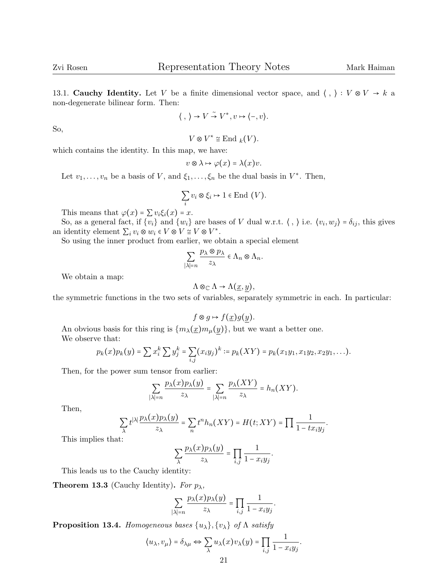13.1. Cauchy Identity. Let V be a finite dimensional vector space, and  $\langle , \rangle : V \otimes V \to k$  a non-degenerate bilinear form. Then:

$$
\langle , \rangle \to V \stackrel{\sim}{\to} V^*, v \mapsto \langle -, v \rangle.
$$

So,

$$
V \otimes V^* \cong \text{End } _k(V).
$$

which contains the identity. In this map, we have:

$$
v\otimes\lambda\mapsto\varphi(x)=\lambda(x)v.
$$

Let  $v_1, \ldots, v_n$  be a basis of V, and  $\xi_1, \ldots, \xi_n$  be the dual basis in  $V^*$ . Then,

$$
\sum_{i} v_i \otimes \xi_i \mapsto 1 \in \text{End } (V).
$$

This means that  $\varphi(x) = \sum v_i \xi_i(x) = x$ .

So, as a general fact, if  $\{v_i\}$  and  $\{w_i\}$  are bases of V dual w.r.t.  $\langle , \rangle$  i.e.  $\langle v_i, w_j \rangle = \delta_{ij}$ , this gives an identity element  $\sum_i v_i \otimes w_i \in V \otimes V \cong V \otimes V^*$ .<br>So using the inner product from earlier we all

So using the inner product from earlier, we obtain a special element

$$
\sum_{|\lambda|=n} \frac{p_{\lambda} \otimes p_{\lambda}}{z_{\lambda}} \in \Lambda_n \otimes \Lambda_n.
$$

We obtain a map:

$$
\Lambda\otimes_{\mathbb{C}}\Lambda\to \Lambda(\underline{x},\underline{y}),
$$

the symmetric functions in the two sets of variables, separately symmetric in each. In particular:

$$
f \otimes g \mapsto f(\underline{x})g(\underline{y}).
$$

An obvious basis for this ring is  $\{m_{\lambda}(\underline{x})m_{\mu}(y)\}\)$ , but we want a better one. We observe that:

$$
p_k(x)p_k(y) = \sum x_i^k \sum y_j^k = \sum_{i,j} (x_iy_j)^k := p_k(XY) = p_k(x_1y_1, x_1y_2, x_2y_1, \ldots).
$$

Then, for the power sum tensor from earlier:

$$
\sum_{|\lambda|=n} \frac{p_{\lambda}(x)p_{\lambda}(y)}{z_{\lambda}} = \sum_{|\lambda|=n} \frac{p_{\lambda}(XY)}{z_{\lambda}} = h_n(XY).
$$

Then,

$$
\sum_{\lambda} t^{|\lambda|} \frac{p_{\lambda}(x) p_{\lambda}(y)}{z_{\lambda}} = \sum_{n} t^{n} h_{n}(XY) = H(t; XY) = \prod_{n} \frac{1}{1 - tx_{i}y_{j}}.
$$

This implies that:

$$
\sum_{\lambda} \frac{p_{\lambda}(x) p_{\lambda}(y)}{z_{\lambda}} = \prod_{i,j} \frac{1}{1 - x_i y_j}.
$$

This leads us to the Cauchy identity:

**Theorem 13.3** (Cauchy Identity). For  $p_{\lambda}$ ,

$$
\sum_{|\lambda|=n}\frac{p_{\lambda}(x)p_{\lambda}(y)}{z_{\lambda}}=\prod_{i,j}\frac{1}{1-x_{i}y_{j}}.
$$

**Proposition 13.4.** Homogeneous bases  $\{u_{\lambda}\}, \{v_{\lambda}\}\$  of  $\Lambda$  satisfy

$$
\langle u_{\lambda}, v_{\mu} \rangle = \delta_{\lambda \mu} \Leftrightarrow \sum_{\lambda} u_{\lambda}(x) v_{\lambda}(y) = \prod_{i,j} \frac{1}{1 - x_i y_j}.
$$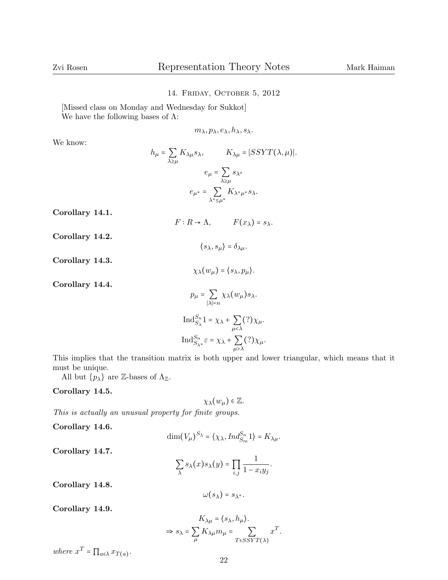## 14. Friday, October 5, 2012

[Missed class on Monday and Wednesday for Sukkot] We have the following bases of  $\Lambda$ :

 $m_{\lambda}, p_{\lambda}, e_{\lambda}, h_{\lambda}, s_{\lambda}.$ 

We know:

$$
h_{\mu} = \sum_{\lambda \ge \mu} K_{\lambda \mu} s_{\lambda}, \qquad K_{\lambda \mu} = |SSYT(\lambda, \mu)|.
$$

$$
e_{\mu} = \sum_{\lambda \ge \mu} s_{\lambda^*}
$$

$$
e_{\mu^*} = \sum_{\lambda^* \le \mu^*} K_{\lambda^* \mu^*} s_{\lambda}.
$$

Corollary 14.1.

$$
F: R \to \Lambda, \qquad F(x_{\lambda}) = s_{\lambda}.
$$

 $\left\langle s_\lambda,s_\mu\right\rangle=\delta_{\lambda\mu}.$ 

 $\chi_{\lambda}(w_{\mu}) = \langle s_{\lambda}, p_{\mu} \rangle.$ 

Corollary 14.2.

Corollary 14.3.

Corollary 14.4.

$$
p_{\mu} = \sum_{|\lambda|=n} \chi_{\lambda}(w_{\mu}) s_{\lambda}.
$$
  
Ind <sub>$S_{\lambda}$</sub>  <sup>$S_{n}$</sup> 1 =  $\chi_{\lambda} + \sum_{\mu < \lambda}$ (?) $\chi_{\mu}$ .  
Ind <sub>$S_{\lambda^*}$</sub>  <sup>$S_{\lambda^*}$</sup>  =  $\chi_{\lambda} + \sum_{\mu > \lambda}$ (?) $\chi_{\mu}$ .

This implies that the transition matrix is both upper and lower triangular, which means that it must be unique.

All but  $\{p_{\lambda}\}\$ are Z-bases of  $\Lambda_{\mathbb{Z}}$ .

Corollary 14.5.

$$
\chi_{\lambda}(w_{\mu})\in\mathbb{Z}.
$$

This is actually an unusual property for finite groups.

Corollary 14.6.

$$
\dim(V_{\mu})^{S_{\lambda}} = \langle \chi_{\lambda}, Ind_{S_m}^{S_n} 1 \rangle = K_{\lambda \mu}.
$$

Corollary 14.7.

$$
\sum_{\lambda} s_{\lambda}(x) s_{\lambda}(y) = \prod_{i,j} \frac{1}{1 - x_i y_j}.
$$

Corollary 14.8.

$$
\omega(s_\lambda)=s_{\lambda^*}.
$$

Corollary 14.9.

$$
K_{\lambda\mu} = \langle s_{\lambda}, h_{\mu} \rangle.
$$
  
\n
$$
\Rightarrow s_{\lambda} = \sum_{\mu} K_{\lambda\mu} m_{\mu} = \sum_{T \in SSYT(\lambda)} x^{T}.
$$

where  $x^T = \prod_{a \in \lambda} x_{T(a)}$ .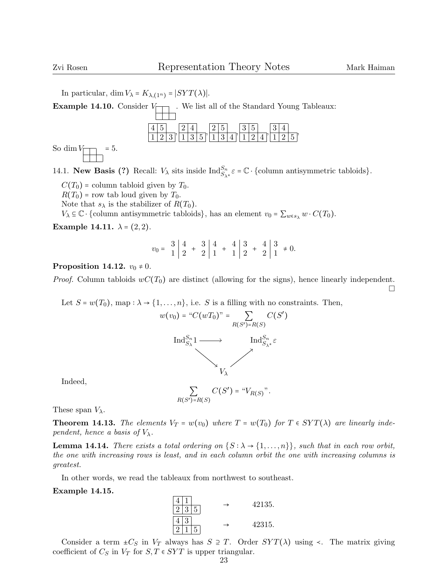In particular, dim  $V_{\lambda} = K_{\lambda,(1^n)} = |SYT(\lambda)|$ .

**Example 14.10.** Consider  $V_{\Box}$  We list all of the Standard Young Tableaux:



So dim  $V_{\sim}$  = 5.

14.1. **New Basis (?)** Recall:  $V_{\lambda}$  sits inside  $\text{Ind}_{S_{\lambda^*}}^{S_n} \varepsilon = \mathbb{C} \cdot \{\text{column antisymmetric tabloids}\}.$ 

 $C(T_0)$  = column tabloid given by  $T_0$ .

 $R(T_0)$  = row tab loud given by  $T_0$ .

Note that  $s_{\lambda}$  is the stabilizer of  $R(T_0)$ .

 $V_{\lambda} \subseteq \mathbb{C} \cdot \{\text{column antisymmetric tabloids}\},\$ has an element  $v_0 = \sum_{w \in s_{\lambda}} w \cdot C(T_0).$ 

Example 14.11.  $\lambda = (2, 2)$ .

<sup>v</sup><sup>0</sup> <sup>=</sup> 3 4 1 2 + 3 4 2 1 + 4 3 1 2 + 4 3 2 1 ≠ 0.

## Proposition 14.12.  $v_0 \neq 0$ .

*Proof.* Column tabloids  $wC(T_0)$  are distinct (allowing for the signs), hence linearly independent.  $\Box$ 

Let  $S = w(T_0)$ , map :  $\lambda \to \{1, ..., n\}$ , i.e. S is a filling with no constraints. Then,

$$
w(v_0) = "C(wT_0)" = \sum_{R(S')=R(S)} C(S')
$$
  

$$
\operatorname{Ind}_{S_{\lambda}}^{S_n} 1 \longrightarrow \operatorname{Ind}_{S_{\lambda^*}}^{S_n} \varepsilon
$$
  

$$
V_{\lambda}
$$

Indeed,

 $\sum_{R(S')=R(S)}$  $C(S') = "V_{R(S)}".$ 

These span  $V_{\lambda}$ .

**Theorem 14.13.** The elements  $V_T = w(v_0)$  where  $T = w(T_0)$  for  $T \in SYT(\lambda)$  are linearly independent, hence a basis of  $V_{\lambda}$ .

**Lemma 14.14.** There exists a total ordering on  $\{S : \lambda \to \{1, ..., n\}\}\$ , such that in each row orbit, the one with increasing rows is least, and in each column orbit the one with increasing columns is greatest.

In other words, we read the tableaux from northwest to southeast.

#### Example 14.15.



Consider a term  $\pm C_S$  in  $V_T$  always has  $S \supseteq T$ . Order  $SYT(\lambda)$  using  $\prec$ . The matrix giving coefficient of  $C_S$  in  $V_T$  for  $S, T \in SYT$  is upper triangular.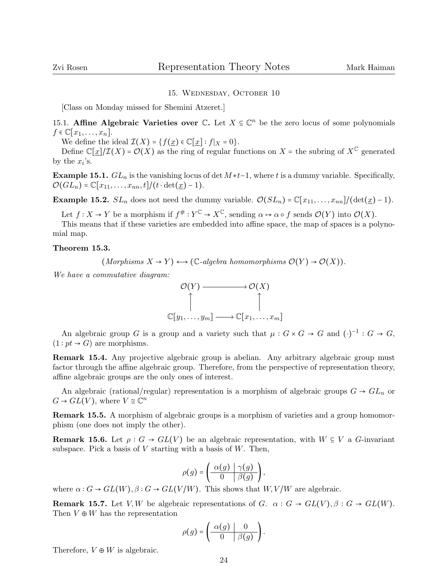## 15. Wednesday, October 10

[Class on Monday missed for Shemini Atzeret.]

15.1. **Affine Algebraic Varieties over C.** Let  $X \subseteq \mathbb{C}^n$  be the zero locus of some polynomials  $f \in \mathbb{C}[x_1,\ldots,x_n].$ 

We define the ideal  $\mathcal{I}(X) = \{f(x) \in \mathbb{C}[x] : f|_{X} = 0\}.$ 

Define  $\mathbb{C}[\underline{x}]/\mathcal{I}(X) = \mathcal{O}(X)$  as the ring of regular functions on  $X =$  the subring of  $X^{\mathbb{C}}$  generated by the  $x_i$ 's.

Example 15.1.  $GL_n$  is the vanishing locus of det  $M * t-1$ , where t is a dummy variable. Specifically,  $\mathcal{O}(GL_n) = \mathbb{C}[x_{11}, \ldots, x_{nn}, t]/(t \cdot \det(\underline{x}) - 1).$ 

**Example 15.2.**  $SL_n$  does not need the dummy variable.  $\mathcal{O}(SL_n) = \mathbb{C}[x_{11}, \ldots, x_{nn}]/(\det(\underline{x}) - 1)$ .

Let  $f: X \to Y$  be a morphism if  $f^{\#}: Y^{\mathbb{C}} \to X^{\mathbb{C}}$ , sending  $\alpha \mapsto \alpha \circ f$  sends  $\mathcal{O}(Y)$  into  $\mathcal{O}(X)$ .

This means that if these varieties are embedded into affine space, the map of spaces is a polynomial map.

#### Theorem 15.3.

 $(Morphisms X \to Y) \longleftrightarrow (\mathbb{C} \text{-algebra homomorphisms } \mathcal{O}(Y) \to \mathcal{O}(X)).$ 

We have a commutative diagram:



An algebraic group  $G$  is a group and a variety such that  $\mu : G \times G \to G$  and  $(\cdot)^{-1} : G \to G$ ,  $(1 : pt \rightarrow G)$  are morphisms.

Remark 15.4. Any projective algebraic group is abelian. Any arbitrary algebraic group must factor through the affine algebraic group. Therefore, from the perspective of representation theory, affine algebraic groups are the only ones of interest.

An algebraic (rational/regular) representation is a morphism of algebraic groups  $G \rightarrow GL_n$  or  $G \rightarrow GL(V)$ , where  $V \cong \mathbb{C}^n$ 

Remark 15.5. A morphism of algebraic groups is a morphism of varieties and a group homomorphism (one does not imply the other).

**Remark 15.6.** Let  $\rho: G \to GL(V)$  be an algebraic representation, with  $W \subseteq V$  a G-invariant subspace. Pick a basis of  $V$  starting with a basis of  $W$ . Then,

$$
\rho(g) = \left(\begin{array}{c|c}\alpha(g) & \gamma(g) \\
\hline\n0 & \beta(g)\n\end{array}\right),
$$

where  $\alpha$  :  $G \to GL(W)$ ,  $\beta$  :  $G \to GL(V/W)$ . This shows that  $W, V/W$  are algebraic.

**Remark 15.7.** Let V,W be algebraic representations of G.  $\alpha$  :  $G \rightarrow GL(V)$ ,  $\beta$  :  $G \rightarrow GL(W)$ . Then  $V \oplus W$  has the representation

$$
\rho(g) = \left(\begin{array}{c|c}\alpha(g) & 0\\ \hline 0 & \beta(g)\end{array}\right).
$$

Therefore,  $V \oplus W$  is algebraic.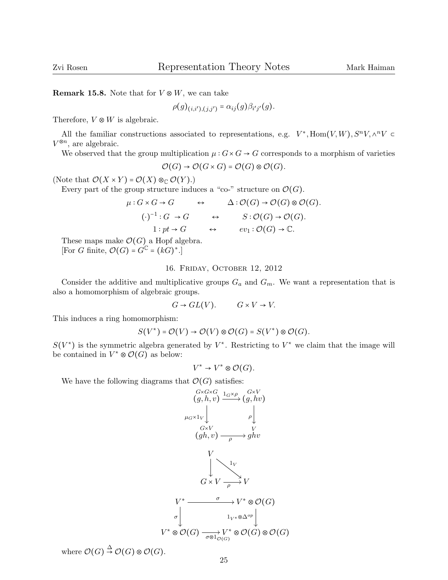**Remark 15.8.** Note that for  $V \otimes W$ , we can take

$$
\rho(g)_{(i,i'),(j,j')} = \alpha_{ij}(g)\beta_{i'j'}(g).
$$

Therefore,  $V \otimes W$  is algebraic.

All the familiar constructions associated to representations, e.g.  $V^*$ ,  $\text{Hom}(V, W)$ ,  $S^n V$ ,  $\wedge^n V \subset$ <br><sup>3n</sup> are algebraic.  $V^{\otimes n}$ , are algebraic.

We observed that the group multiplication  $\mu$ :  $G \times G \to G$  corresponds to a morphism of varieties

$$
\mathcal{O}(G) \to \mathcal{O}(G \times G) = \mathcal{O}(G) \otimes \mathcal{O}(G).
$$

(Note that  $\mathcal{O}(X \times Y) = \mathcal{O}(X) \otimes_{\mathbb{C}} \mathcal{O}(Y)$ .)

Every part of the group structure induces a "co-" structure on  $\mathcal{O}(G)$ .

$$
\mu: G \times G \to G \qquad \leftrightarrow \qquad \Delta: \mathcal{O}(G) \to \mathcal{O}(G) \otimes \mathcal{O}(G).
$$
  
\n
$$
(\cdot)^{-1}: G \to G \qquad \leftrightarrow \qquad S: \mathcal{O}(G) \to \mathcal{O}(G).
$$
  
\n
$$
1: pt \to G \qquad \leftrightarrow \qquad ev_1: \mathcal{O}(G) \to \mathbb{C}.
$$

These maps make  $\mathcal{O}(G)$  a Hopf algebra. [For G finite,  $\mathcal{O}(G) = G^{\mathbb{C}} = (kG)^*$ .]

## 16. Friday, October 12, 2012

Consider the additive and multiplicative groups  $G_a$  and  $G_m$ . We want a representation that is also a homomorphism of algebraic groups.

$$
G \to GL(V). \qquad G \times V \to V.
$$

This induces a ring homomorphism:

$$
S(V^*) = \mathcal{O}(V) \rightarrow \mathcal{O}(V) \otimes \mathcal{O}(G) = S(V^*) \otimes \mathcal{O}(G).
$$

 $S(V^*)$  is the symmetric algebra generated by  $V^*$ . Restricting to  $V^*$  we claim that the image will be contained in  $V^* \otimes \mathcal{O}(G)$  as below:

$$
V^* \to V^* \otimes \mathcal{O}(G).
$$

We have the following diagrams that  $\mathcal{O}(G)$  satisfies:



where  $\mathcal{O}(G) \stackrel{\Delta}{\rightarrow} \mathcal{O}(G) \otimes \mathcal{O}(G)$ .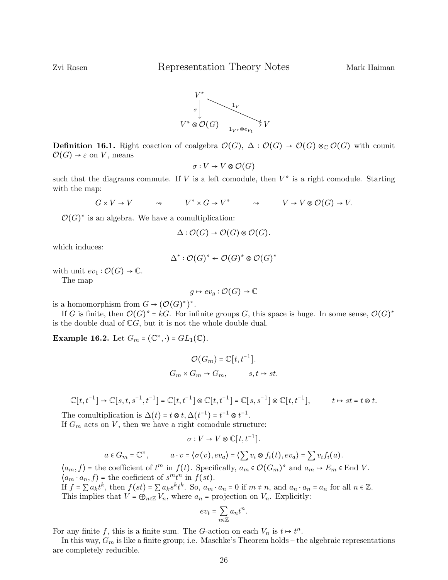

Definition 16.1. Right coaction of coalgebra  $\mathcal{O}(G)$ ,  $\Delta : \mathcal{O}(G) \rightarrow \mathcal{O}(G) \otimes_{\mathbb{C}} \mathcal{O}(G)$  with counit  $\mathcal{O}(G) \rightarrow \varepsilon$  on V, means

$$
\sigma: V \to V \otimes \mathcal{O}(G)
$$

such that the diagrams commute. If V is a left comodule, then  $V^*$  is a right comodule. Starting with the map:

$$
G \times V \to V \qquad \rightsquigarrow \qquad V^* \times G \to V^* \qquad \rightsquigarrow \qquad V \to V \otimes \mathcal{O}(G) \to V.
$$

 $\mathcal{O}(G)^*$  is an algebra. We have a comultiplication:

$$
\Delta: \mathcal{O}(G) \to \mathcal{O}(G) \otimes \mathcal{O}(G).
$$

which induces:

$$
\Delta^* : \mathcal{O}(G)^* \leftarrow \mathcal{O}(G)^* \otimes \mathcal{O}(G)^*
$$

with unit  $ev_1 : \mathcal{O}(G) \to \mathbb{C}$ .

The map

$$
g \mapsto ev_g : \mathcal{O}(G) \to \mathbb{C}
$$

is a homomorphism from  $G \to (\mathcal{O}(G)^*)^*$ .

If G is finite, then O(G) <sup>∗</sup> <sup>=</sup> kG. For infinite groups <sup>G</sup>, this space is huge. In some sense, O(G) ∗ is the double dual of  $\mathbb{C}G$ , but it is not the whole double dual.

**Example 16.2.** Let  $G_m = (\mathbb{C}^\times, \cdot) = GL_1(\mathbb{C})$ .

$$
\mathcal{O}(G_m) = \mathbb{C}[t, t^{-1}].
$$
  

$$
G_m \times G_m \to G_m, \qquad s, t \mapsto st.
$$

$$
\mathbb{C}[t,t^{-1}] \to \mathbb{C}[s,t,s^{-1},t^{-1}] = \mathbb{C}[t,t^{-1}] \otimes \mathbb{C}[t,t^{-1}] = \mathbb{C}[s,s^{-1}] \otimes \mathbb{C}[t,t^{-1}], \qquad t \mapsto st = t \otimes t.
$$

The comultiplication is  $\Delta(t) = t \otimes t$ ,  $\Delta(t^{-1}) = t^{-1} \otimes t^{-1}$ . If  $G_m$  acts on V, then we have a right comodule structure:

$$
\sigma: V \to V \otimes \mathbb{C}[t, t^{-1}].
$$

$$
a \in G_m = \mathbb{C}^\times
$$
,  $a \cdot v = \langle \sigma(v), ev_a \rangle = \langle \sum v_i \otimes f_i(t), ev_a \rangle = \sum v_i f_i(a)$ .

 $\langle a_m, f \rangle$  = the coefficient of  $t^m$  in  $f(t)$ . Specifically,  $a_m \in \mathcal{O}(G_m)^*$  and  $a_m \mapsto E_m \in \text{End } V$ .  $\langle a_m \cdot a_n, f \rangle$  = the coeficient of  $s^m t^n$  in  $f(st)$ .

If  $f = \sum a_k t^k$ , then  $f(st) = \sum a_k s^k t^k$ . So,  $a_m \cdot a_n = 0$  if  $m \neq n$ , and  $a_n \cdot a_n = a_n$  for all  $n \in \mathbb{Z}$ . This implies that  $V = \bigoplus_{n \in \mathbb{Z}} V_n$ , where  $a_n$  = projection on  $V_n$ . Explicitly:

$$
ev_t = \sum_{n \in \mathbb{Z}} a_n t^n
$$

.

For any finite f, this is a finite sum. The G-action on each  $V_n$  is  $t \mapsto t^n$ .

In this way,  $G_m$  is like a finite group; i.e. Maschke's Theorem holds – the algebraic representations are completely reducible.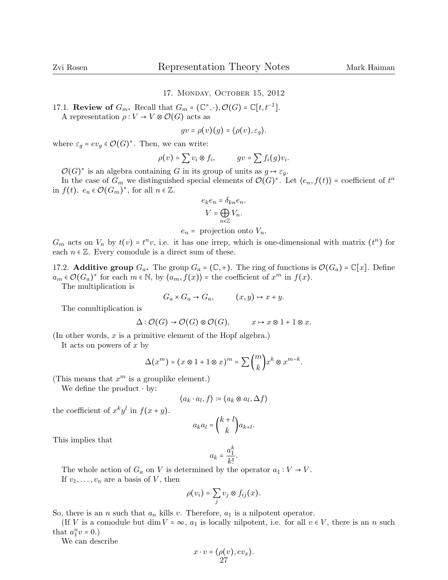## 17. Monday, October 15, 2012

17.1. **Review of**  $G_m$ . Recall that  $G_m = (\mathbb{C}^\times, \cdot), \mathcal{O}(G) = \mathbb{C}[t, t^{-1}].$ 

A representation  $\rho: V \to V \otimes \mathcal{O}(G)$  acts as

$$
gv = \rho(v)(g) = \langle \rho(v), \varepsilon_g \rangle.
$$

where  $\varepsilon_g = ev_g \in \mathcal{O}(G)^*$ . Then, we can write:

$$
\rho(v) = \sum v_i \otimes f_i, \qquad gv = \sum f_i(g)v_i.
$$

 $\mathcal{O}(G)^*$  is an algebra containing G in its group of units as  $g \mapsto \varepsilon_g$ .

In the case of  $G_m$  we distinguished special elements of  $\mathcal{O}(G)^*$ . Let  $\langle e_n, f(t) \rangle$  = coefficient of  $t^n$ in  $f(t)$ .  $e_n \in \mathcal{O}(G_m)^*$ , for all  $n \in \mathbb{Z}$ .

$$
e_k e_n = \delta_{kn} e_n.
$$

$$
V = \bigoplus_{n \in \mathbb{Z}} V_n.
$$

 $e_n$  = projection onto  $V_n$ .

 $G_m$  acts on  $V_n$  by  $t(v) = t^n v$ , i.e. it has one irrep, which is one-dimensional with matrix  $(t^n)$  for each  $n \in \mathbb{Z}$ . Every comodule is a direct sum of these.

17.2. **Additive group**  $G_a$ . The group  $G_a = (\mathbb{C}, +)$ . The ring of functions is  $\mathcal{O}(G_a) = \mathbb{C}[x]$ . Define  $a_m \in \mathcal{O}(G_a)^*$  for each  $m \in \mathbb{N}$ , by  $\langle a_m, f(x) \rangle$  = the coefficient of  $x^m$  in  $f(x)$ .

The multiplication is

$$
G_a \times G_a \to G_a, \qquad (x, y) \mapsto x + y.
$$

The comultiplication is

$$
\Delta: \mathcal{O}(G) \to \mathcal{O}(G) \otimes \mathcal{O}(G), \qquad x \mapsto x \otimes 1 + 1 \otimes x.
$$

(In other words,  $x$  is a primitive element of the Hopf algebra.)

It acts on powers of  $x$  by

$$
\Delta(x^m) = (x \otimes 1 + 1 \otimes x)^m = \sum {m \choose k} x^k \otimes x^{m-k}.
$$

(This means that  $x^m$  is a grouplike element.)

We define the product  $·$  by:

$$
\langle a_k \cdot a_l, f \rangle \coloneqq \langle a_k \otimes a_l, \Delta f \rangle
$$

the coefficient of  $x^k y^l$  in  $f(x+y)$ .

$$
a_k a_l = \binom{k+l}{k} a_{k+l}.
$$

This implies that

$$
a_k = \frac{a_1^k}{k!}.
$$

The whole action of  $G_a$  on V is determined by the operator  $a_1 : V \to V$ . If  $v_1, \ldots, v_n$  are a basis of V, then

$$
\rho(v_i) = \sum_j v_j \otimes f_{ij}(x).
$$

So, there is an *n* such that  $a_n$  kills v. Therefore,  $a_1$  is a nilpotent operator.

(If V is a comodule but dim  $V = \infty$ ,  $a_1$  is locally nilpotent, i.e. for all  $v \in V$ , there is an n such that  $a_1^n v = 0.$ 

We can describe

$$
x\cdot v = \langle \rho(v), ev_x\rangle. 27
$$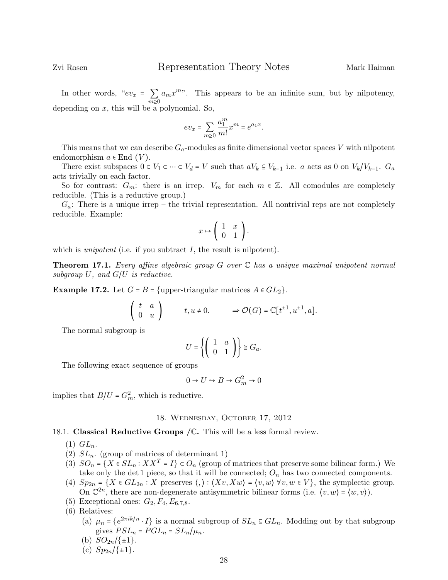In other words, " $ev_x = \sum_{m \geq 0}$  $m\geq 0$  $a_m x^{m\nu}$ . This appears to be an infinite sum, but by nilpotency, depending on  $x$ , this will be a polynomial. So,

$$
ev_x = \sum_{m\geq 0} \frac{a_1^m}{m!} x^m = e^{a_1 x}.
$$

This means that we can describe  $G_a$ -modules as finite dimensional vector spaces V with nilpotent endomorphism  $a \in$  End  $(V)$ .

There exist subspaces  $0 \subset V_1 \subset \cdots \subset V_d = V$  such that  $aV_k \subseteq V_{k-1}$  i.e. a acts as 0 on  $V_k/V_{k-1}$ .  $G_a$ acts trivially on each factor.

So for contrast:  $G_m$ : there is an irrep.  $V_m$  for each  $m \in \mathbb{Z}$ . All comodules are completely reducible. (This is a reductive group.)

 $G_a$ : There is a unique irrep – the trivial representation. All nontrivial reps are not completely reducible. Example:

$$
x \mapsto \left( \begin{array}{cc} 1 & x \\ 0 & 1 \end{array} \right).
$$

which is *unipotent* (i.e. if you subtract  $I$ , the result is nilpotent).

**Theorem 17.1.** Every affine algebraic group  $G$  over  $\mathbb C$  has a unique maximal unipotent normal subgroup  $U$ , and  $G/U$  is reductive.

**Example 17.2.** Let  $G = B = \{ \text{upper-triangular matrices } A \in GL_2 \}.$ 

$$
\left(\begin{array}{cc} t & a \\ 0 & u \end{array}\right) \qquad t, u \neq 0. \qquad \Rightarrow \mathcal{O}(G) = \mathbb{C}[t^{\pm 1}, u^{\pm 1}, a].
$$

The normal subgroup is

$$
U = \left\{ \left( \begin{array}{cc} 1 & a \\ 0 & 1 \end{array} \right) \right\} \cong G_a.
$$

The following exact sequence of groups

$$
0 \to U \to B \to G_m^2 \to 0
$$

implies that  $B/U = G_m^2$ , which is reductive.

### 18. Wednesday, October 17, 2012

## 18.1. Classical Reductive Groups  $/C$ . This will be a less formal review.

 $(1)$   $GL_n$ .

- (2)  $SL_n$ . (group of matrices of determinant 1)
- (3)  $SO_n = \{X \in SL_n : XX^T = I\} \subset O_n$  (group of matrices that preserve some bilinear form.) We take only the det 1 piece, so that it will be connected;  $O_n$  has two connected components.
- (4)  $Sp_{2n} = \{X \in GL_{2n} : X \text{ preserves } \langle,\rangle : \langle Xv, Xw \rangle = \langle v, w \rangle \ \forall v, w \in V\},\$  the symplectic group. On  $\mathbb{C}^{2n}$ , there are non-degenerate antisymmetric bilinear forms (i.e.  $\langle v, w \rangle = \langle w, v \rangle$ ).
- (5) Exceptional ones:  $G_2, F_4, E_{6,7,8}$ .
- (6) Relatives:
	- (a)  $\mu_n = \{e^{2\pi i k/n} \cdot I\}$  is a normal subgroup of  $SL_n \subseteq GL_n$ . Modding out by that subgroup gives  $PSL_n = PGL_n = SL_n/\mu_n$ .
	- (b)  $SO_{2n}/\{\pm 1\}$ .
	- (c)  $Sp_{2n}/\{\pm 1\}$ .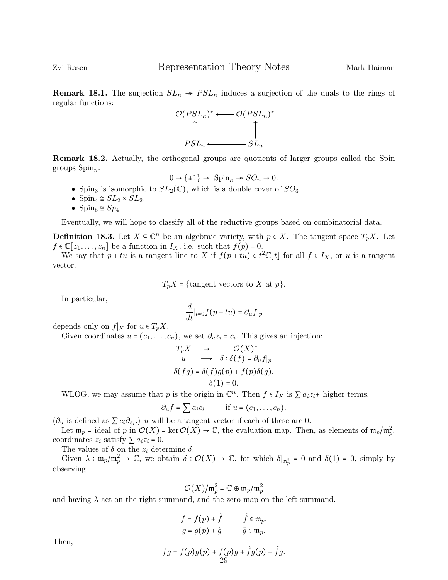**Remark 18.1.** The surjection  $SL_n \rightarrow PSL_n$  induces a surjection of the duals to the rings of regular functions:



Remark 18.2. Actually, the orthogonal groups are quotients of larger groups called the Spin groups  $Spin_n$ .

$$
0 \to {\{\pm1\}} \to {\text{Spin}}_n \twoheadrightarrow SO_n \to 0.
$$

- Spin<sub>3</sub> is isomorphic to  $SL_2(\mathbb{C})$ , which is a double cover of  $SO_3$ .
- Spin<sub>4</sub>  $\cong$   $SL_2 \times SL_2$ .
- Spin<sub>5</sub>  $\cong$  Sp<sub>4</sub>.

Eventually, we will hope to classify all of the reductive groups based on combinatorial data.

**Definition 18.3.** Let  $X \subseteq \mathbb{C}^n$  be an algebraic variety, with  $p \in X$ . The tangent space  $T_p X$ . Let  $f \in \mathbb{C}$  is a subset bet  $f(x) = 0$ .  $f \in \mathbb{C}[z_1,\ldots,z_n]$  be a function in  $I_X$ , i.e. such that  $f(p) = 0$ .

We say that  $p + tu$  is a tangent line to X if  $f(p + tu) \in t^2 \mathbb{C}[t]$  for all  $f \in I_X$ , or u is a tangent vector.

 $T_pX = {\text{tangent vectors to } X \text{ at } p}.$ 

In particular,

$$
\frac{d}{dt}|_{t=0}f(p+tu)=\partial_uf|_p
$$

depends only on  $f|_X$  for  $u \in T_pX$ .

Given coordinates  $u = (c_1, \ldots, c_n)$ , we set  $\partial_u z_i = c_i$ . This gives an injection:

$$
T_p X \xrightarrow{Q(X)^*} \mathcal{O}(X)
$$
  
\n
$$
u \longrightarrow \delta : \delta(f) = \partial_u f|_p
$$
  
\n
$$
\delta(fg) = \delta(f)g(p) + f(p)\delta(g).
$$
  
\n
$$
\delta(1) = 0.
$$

WLOG, we may assume that p is the origin in  $\mathbb{C}^n$ . Then  $f \in I_X$  is  $\sum a_i z_i$ + higher terms.

$$
\partial_u f = \sum a_i c_i \qquad \text{if } u = (c_1, \ldots, c_n).
$$

 $(\partial_u$  is defined as  $\sum c_i \partial_{z_i}$ .) u will be a tangent vector if each of these are 0.

Let  $\mathfrak{m}_p =$  ideal of p in  $\mathcal{O}(X) = \ker \mathcal{O}(X) \to \mathbb{C}$ , the evaluation map. Then, as elements of  $\mathfrak{m}_p/\mathfrak{m}_p^2$ , coordinates  $z_i$  satisfy  $\sum a_i z_i = 0$ .

The values of  $\delta$  on the  $z_i$  determine  $\delta$ .

Given  $\lambda : \mathfrak{m}_p/\mathfrak{m}_p^2 \to \mathbb{C}$ , we obtain  $\delta : \mathcal{O}(X) \to \mathbb{C}$ , for which  $\delta|_{\mathfrak{m}_p^2} = 0$  and  $\delta(1) = 0$ , simply by observing

$$
\mathcal{O}(X)/\mathfrak{m}_p^2 = \mathbb{C} \oplus \mathfrak{m}_p/\mathfrak{m}_p^2
$$

and having  $\lambda$  act on the right summand, and the zero map on the left summand.

$$
f = f(p) + \tilde{f} \qquad \tilde{f} \in \mathfrak{m}_p.
$$
  

$$
g = g(p) + \tilde{g} \qquad \tilde{g} \in \mathfrak{m}_p.
$$

Then,

$$
fg = f(p)g(p) + f(p)\tilde{g} + \tilde{f}g(p) + \tilde{f}\tilde{g}.
$$
  
29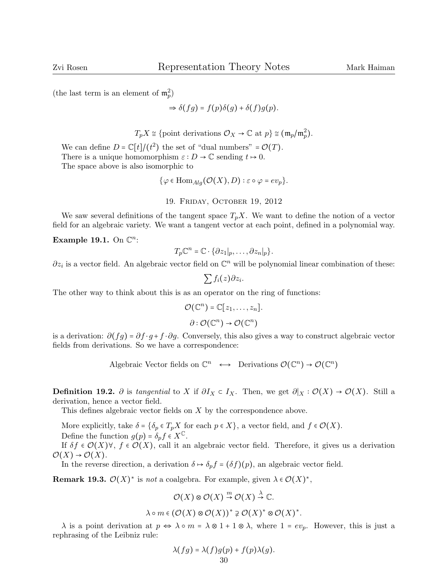(the last term is an element of  $\mathfrak{m}_p^2$ )

$$
\Rightarrow \delta(fg) = f(p)\delta(g) + \delta(f)g(p).
$$

 $T_p X \cong \{\text{point derivations } \mathcal{O}_X \to \mathbb{C} \text{ at } p\} \cong (\mathfrak{m}_p/\mathfrak{m}_p^2).$ 

We can define  $D = \mathbb{C}[t]/(t^2)$  the set of "dual numbers" =  $\mathcal{O}(T)$ .<br>There is a unique homomorphism at  $D \cup \mathcal{O}$  conding  $t \cup 0$ . There is a unique homomorphism  $\varepsilon : D \to \mathbb{C}$  sending  $t \to 0$ . The space above is also isomorphic to

 $\{\varphi \in \text{Hom}_{\text{Alg}}(\mathcal{O}(X), D) : \varepsilon \circ \varphi = ev_p\}.$ 

19. Friday, October 19, 2012

We saw several definitions of the tangent space  $T_pX$ . We want to define the notion of a vector field for an algebraic variety. We want a tangent vector at each point, defined in a polynomial way.

Example 19.1. On  $\mathbb{C}^n$ :

$$
T_p \mathbb{C}^n = \mathbb{C} \cdot \{ \partial z_1 |_p, \ldots, \partial z_n |_p \}.
$$

 $\partial z_i$  is a vector field. An algebraic vector field on  $\mathbb{C}^n$  will be polynomial linear combination of these:

$$
\sum f_i(z)\partial z_i.
$$

The other way to think about this is as an operator on the ring of functions:

$$
\mathcal{O}(\mathbb{C}^n) = \mathbb{C}[z_1,\ldots,z_n].
$$

$$
\partial : \mathcal{O}(\mathbb{C}^n) \to \mathcal{O}(\mathbb{C}^n)
$$

is a derivation:  $\partial (fq) = \partial f \cdot q + f \cdot \partial q$ . Conversely, this also gives a way to construct algebraic vector fields from derivations. So we have a correspondence:

Algebraic Vector fields on  $\mathbb{C}^n \longleftrightarrow$  Derivations  $\mathcal{O}(\mathbb{C}^n) \to \mathcal{O}(\mathbb{C}^n)$ 

**Definition 19.2.** ∂ is tangential to X if  $\partial I_X \subset I_X$ . Then, we get  $\partial |_X : \mathcal{O}(X) \to \mathcal{O}(X)$ . Still a derivation, hence a vector field.

This defines algebraic vector fields on  $X$  by the correspondence above.

More explicitly, take  $\delta = \{\delta_p \in T_p X \text{ for each } p \in X\}$ , a vector field, and  $f \in \mathcal{O}(X)$ . Define the function  $g(p) = \delta_p f \in X^{\mathbb{C}}$ .

If  $\delta f \in \mathcal{O}(X)$   $\forall$ ,  $f \in \mathcal{O}(X)$ , call it an algebraic vector field. Therefore, it gives us a derivation  $\mathcal{O}(X) \rightarrow \mathcal{O}(X)$ .

In the reverse direction, a derivation  $\delta \mapsto \delta_p f = (\delta f)(p)$ , an algebraic vector field.

**Remark 19.3.**  $\mathcal{O}(X)^*$  is *not* a coalgebra. For example, given  $\lambda \in \mathcal{O}(X)^*$ ,

$$
\mathcal{O}(X) \otimes \mathcal{O}(X) \stackrel{m}{\to} \mathcal{O}(X) \stackrel{\lambda}{\to} \mathbb{C}.
$$
  

$$
\lambda \circ m \in (\mathcal{O}(X) \otimes \mathcal{O}(X))^* \supsetneq \mathcal{O}(X)^* \otimes \mathcal{O}(X)^*.
$$

 $\lambda$  is a point derivation at  $p \Leftrightarrow \lambda \circ m = \lambda \otimes 1 + 1 \otimes \lambda$ , where  $1 = ev_p$ . However, this is just a rephrasing of the Leibniz rule:

$$
\lambda(fg) = \lambda(f)g(p) + f(p)\lambda(g).
$$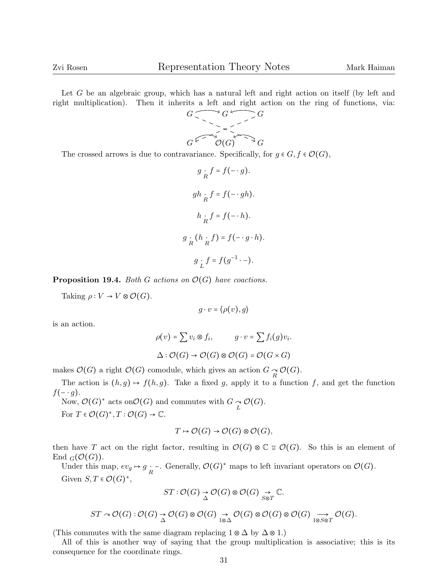Let G be an algebraic group, which has a natural left and right action on itself (by left and right multiplication). Then it inherits a left and right action on the ring of functions, via:



The crossed arrows is due to contravariance. Specifically, for  $g \in G, f \in \mathcal{O}(G)$ ,

$$
g \underset{R}{\cdot} f = f(- \cdot g).
$$
  
\n
$$
gh \underset{R}{\cdot} f = f(- \cdot gh).
$$
  
\n
$$
h \underset{R}{\cdot} f = f(- \cdot h).
$$
  
\n
$$
g \underset{R}{\cdot} (h \underset{R}{\cdot} f) = f(- \cdot g \cdot h).
$$
  
\n
$$
g \underset{L}{\cdot} f = f(g^{-1} \cdot -).
$$

**Proposition 19.4.** Both G actions on  $\mathcal{O}(G)$  have coactions.

Taking  $\rho: V \to V \otimes \mathcal{O}(G)$ .

$$
g \cdot v = \langle \rho(v), g \rangle
$$

is an action.

$$
\rho(v) = \sum v_i \otimes f_i, \qquad g \cdot v = \sum f_i(g)v_i.
$$
  

$$
\Delta : \mathcal{O}(G) \to \mathcal{O}(G) \otimes \mathcal{O}(G) = \mathcal{O}(G \times G)
$$

makes  $\mathcal{O}(G)$  a right  $\mathcal{O}(G)$  comodule, which gives an action  $G \underset{R}{\sim} \mathcal{O}(G)$ .

The action is  $(h, g) \mapsto f(h, g)$ . Take a fixed g, apply it to a function f, and get the function  $f(-\cdot g)$ .

Now,  $\mathcal{O}(G)^*$  acts on  $\mathcal{O}(G)$  and commutes with  $G \underset{L}{\sim} \mathcal{O}(G)$ .

For  $T \in \mathcal{O}(G)^*, T : \mathcal{O}(G) \to \mathbb{C}.$ 

$$
T \mapsto \mathcal{O}(G) \to \mathcal{O}(G) \otimes \mathcal{O}(G),
$$

then have T act on the right factor, resulting in  $\mathcal{O}(G) \otimes \mathbb{C} \cong \mathcal{O}(G)$ . So this is an element of End  $_G(\mathcal{O}(G))$ .

Under this map,  $ev_g \mapsto g \cdot -$ . Generally,  $\mathcal{O}(G)^*$  maps to left invariant operators on  $\mathcal{O}(G)$ . Given  $S, T \in \mathcal{O}(G)^{*}$ ,

$$
ST: \mathcal{O}(G) \underset{\Delta}{\to} \mathcal{O}(G) \otimes \mathcal{O}(G) \underset{1 \otimes \Delta}{\to} \mathbb{C}.
$$
  

$$
ST \sim \mathcal{O}(G): \mathcal{O}(G) \underset{\Delta}{\to} \mathcal{O}(G) \otimes \mathcal{O}(G) \underset{1 \otimes \Delta}{\to} \mathcal{O}(G) \otimes \mathcal{O}(G) \otimes \mathcal{O}(G) \underset{1 \otimes S \otimes T}{\to} \mathcal{O}(G).
$$

(This commutes with the same diagram replacing  $1 \otimes \Delta$  by  $\Delta \otimes 1$ .)

All of this is another way of saying that the group multiplication is associative; this is its consequence for the coordinate rings.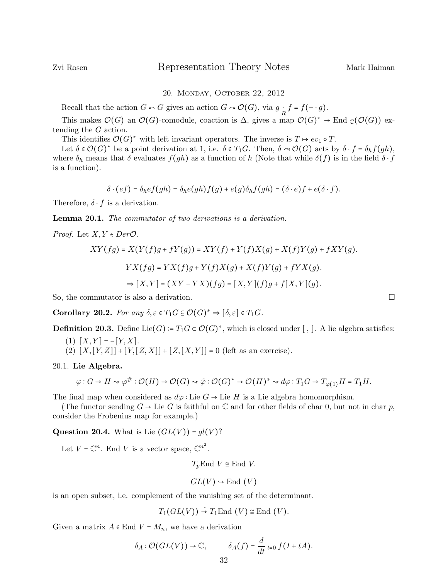## 20. Monday, October 22, 2012

Recall that the action  $G \cap G$  gives an action  $G \cap \mathcal{O}(G)$ , via  $g \cdot f = f(-\cdot g)$ .

This makes  $\mathcal{O}(G)$  an  $\mathcal{O}(G)$ -comodule, coaction is  $\Delta$ , gives a map  $\mathcal{O}(G)^* \to \text{End }_{\mathbb{C}}(\mathcal{O}(G))$  extending the G action.

This identifies  $\mathcal{O}(G)^*$  with left invariant operators. The inverse is  $T \mapsto ev_1 \circ T$ .

Let  $\delta \in \mathcal{O}(G)^*$  be a point derivation at 1, i.e.  $\delta \in T_1G$ . Then,  $\delta \sim \mathcal{O}(G)$  acts by  $\delta \cdot f = \delta_h f(gh)$ , where  $\delta_h$  means that  $\delta$  evaluates  $f(gh)$  as a function of h (Note that while  $\delta(f)$ ) is in the field  $\delta \cdot f$ is a function).

$$
\delta \cdot (ef) = \delta_h ef(gh) = \delta_h e(gh)f(g) + e(g)\delta_h f(gh) = (\delta \cdot e)f + e(\delta \cdot f).
$$

Therefore,  $\delta \cdot f$  is a derivation.

Lemma 20.1. The commutator of two derivations is a derivation.

*Proof.* Let  $X, Y \in Der \mathcal{O}$ .

$$
XY(fg) = X(Y(f)g + fY(g)) = XY(f) + Y(f)X(g) + X(f)Y(g) + fXY(g).
$$
  
\n
$$
YX(fg) = YX(f)g + Y(f)X(g) + X(f)Y(g) + fYX(g).
$$
  
\n
$$
\Rightarrow [X,Y] = (XY - YX)(fg) = [X,Y](f)g + f[X,Y](g).
$$

So, the commutator is also a derivation.

**Corollary 20.2.** For any  $\delta, \varepsilon \in T_1G \subseteq \mathcal{O}(G)^* \Rightarrow [\delta, \varepsilon] \in T_1G$ .

**Definition 20.3.** Define Lie $(G) = T_1G \subset \mathcal{O}(G)^*$ , which is closed under [, ]. A lie algebra satisfies:

- (1)  $[X, Y] = -[Y, X].$
- (2)  $[X,[Y,Z]]+[Y,[Z,X]]+[Z,[X,Y]] = 0$  (left as an exercise).

20.1. Lie Algebra.

$$
\varphi: G \to H \rightsquigarrow \varphi^{\#}: \mathcal{O}(H) \to \mathcal{O}(G) \rightsquigarrow \tilde{\varphi}: \mathcal{O}(G)^{*} \to \mathcal{O}(H)^{*} \rightsquigarrow d\varphi: T_{1}G \to T_{\varphi(1)}H = T_{1}H.
$$

The final map when considered as  $d\varphi$ : Lie  $G \to \text{Lie } H$  is a Lie algebra homomorphism.

(The functor sending  $G \to \text{Lie } G$  is faithful on  $\mathbb C$  and for other fields of char 0, but not in char p, consider the Frobenius map for example.)

Question 20.4. What is Lie  $(GL(V)) = gl(V)$ ?

Let  $V = \mathbb{C}^n$ . End V is a vector space,  $\mathbb{C}^{n^2}$ .

$$
T_p \text{End } V \cong \text{End } V.
$$

$$
GL(V) \hookrightarrow End(V)
$$

is an open subset, i.e. complement of the vanishing set of the determinant.

 $T_1(GL(V)) \stackrel{\sim}{\rightarrow} T_1\text{End}(V) \cong \text{End}(V).$ 

Given a matrix  $A \in$  End  $V = M_n$ , we have a derivation

$$
\delta_A : \mathcal{O}(GL(V)) \to \mathbb{C}, \qquad \delta_A(f) = \frac{d}{dt}\Big|_{t=0} f(I + tA).
$$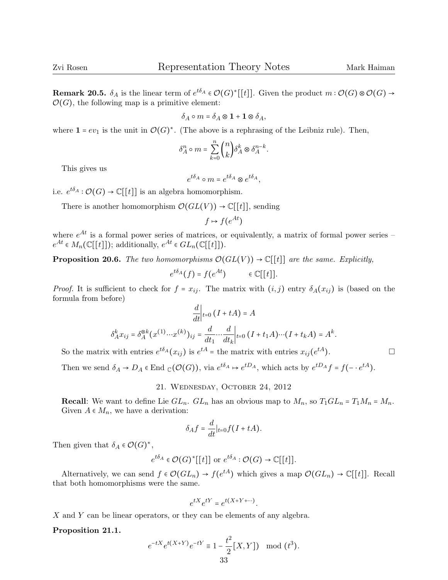**Remark 20.5.**  $\delta_A$  is the linear term of  $e^{t\delta_A} \in \mathcal{O}(G)^*[[t]]$ . Given the product  $m : \mathcal{O}(G) \otimes \mathcal{O}(G) \rightarrow$  $\mathcal{O}(G)$ , the following map is a primitive element:

$$
\delta_A \circ m = \delta_A \otimes \mathbf{1} + \mathbf{1} \otimes \delta_A,
$$

where  $\mathbf{1} = ev_1$  is the unit in  $\mathcal{O}(G)^*$ . (The above is a rephrasing of the Leibniz rule). Then,

$$
\delta_A^n \circ m = \sum_{k=0}^n \binom{n}{k} \delta_A^k \otimes \delta_A^{n-k}.
$$

This gives us

$$
e^{t\delta_A} \circ m = e^{t\delta_A} \otimes e^{t\delta_A},
$$

i.e.  $e^{t\delta_A}: \mathcal{O}(G) \to \mathbb{C}[[t]]$  is an algebra homomorphism.

There is another homomorphism  $\mathcal{O}(GL(V)) \to \mathbb{C}[[t]],$  sending

$$
f \mapsto f(e^{At})
$$

where  $e^{At}$  is a formal power series of matrices, or equivalently, a matrix of formal power series –  $e^{At} \in M_n(\mathbb{C}[[t]])$ ; additionally,  $e^{At} \in GL_n(\mathbb{C}[[t]])$ .

**Proposition 20.6.** The two homomorphisms  $\mathcal{O}(GL(V)) \to \mathbb{C}[[t]]$  are the same. Explicitly,

$$
e^{t\delta_A}(f) = f(e^{At}) \qquad \in \mathbb{C}[[t]].
$$

*Proof.* It is sufficient to check for  $f = x_{ij}$ . The matrix with  $(i, j)$  entry  $\delta_A(x_{ij})$  is (based on the formula from before)  $\overline{I}$ 

$$
\frac{d}{dt}\Big|_{t=0} (I+tA) = A
$$

$$
\delta_A^k x_{ij} = \delta_A^{\otimes k} (x^{(1)} \cdots x^{(k)})_{ij} = \frac{d}{dt_1} \cdots \frac{d}{dt_k}\Big|_{t=0} (I+t_1A) \cdots (I+t_kA) = A^k.
$$

So the matrix with entries  $e^{t\delta_A}(x_{ij})$  is  $e^{tA}$  = the matrix with entries  $x_{ij}(e^{tA})$ .

Then we send  $\delta_A \to D_A \in \text{End }_{\mathbb{C}}(\mathcal{O}(G))$ , via  $e^{t\delta_A} \to e^{tD_A}$ , which acts by  $e^{tD_A} f = f(-e^{tA})$ .

## 21. Wednesday, October 24, 2012

**Recall:** We want to define Lie  $GL_n$ .  $GL_n$  has an obvious map to  $M_n$ , so  $T_1GL_n = T_1M_n = M_n$ . Given  $A \in M_n$ , we have a derivation:

$$
\delta_A f = \frac{d}{dt}|_{t=0} f(I + tA).
$$

Then given that  $\delta_A \in \mathcal{O}(G)^*$ ,

$$
e^{t\delta_A} \in \mathcal{O}(G)^*[[t]]
$$
 or  $e^{t\delta_A} : \mathcal{O}(G) \to \mathbb{C}[[t]].$ 

Alternatively, we can send  $f \in \mathcal{O}(GL_n) \to f(e^{tA})$  which gives a map  $\mathcal{O}(GL_n) \to \mathbb{C}[[t]]$ . Recall that both homomorphisms were the same.

$$
e^{tX}e^{tY} = e^{t(X+Y+\cdots)}.
$$

X and Y can be linear operators, or they can be elements of any algebra.

Proposition 21.1.

$$
e^{-tX}e^{t(X+Y)}e^{-tY} \equiv 1 - \frac{t^2}{2}[X,Y]
$$
 mod  $(t^3)$ .  
33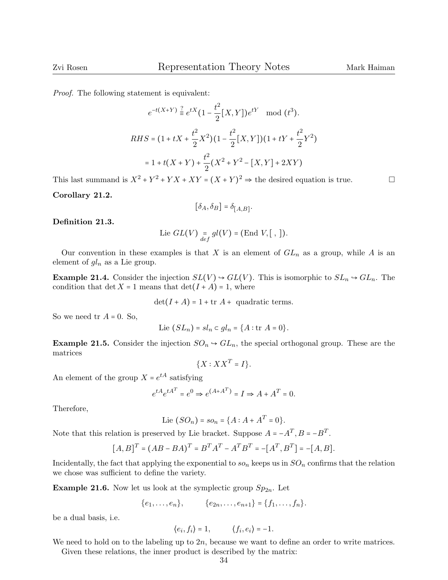Proof. The following statement is equivalent:

$$
e^{-t(X+Y)} \stackrel{?}{=} e^{tX} (1 - \frac{t^2}{2} [X, Y]) e^{tY} \mod (t^3).
$$
  
RHS =  $(1 + tX + \frac{t^2}{2} X^2)(1 - \frac{t^2}{2} [X, Y])(1 + tY + \frac{t^2}{2} Y^2)$   
=  $1 + t(X + Y) + \frac{t^2}{2} (X^2 + Y^2 - [X, Y] + 2XY)$ 

This last summand is  $X^2 + Y^2 + YX + XY = (X + Y)^2 \Rightarrow$  the desired equation is true.

Corollary 21.2.

$$
[\delta_A, \delta_B] = \delta_{[A,B]}.
$$

Definition 21.3.

Lie 
$$
GL(V) = \underset{def}{=} gl(V) = (End V, [ , ]).
$$

Our convention in these examples is that X is an element of  $GL_n$  as a group, while A is an element of  $gl_n$  as a Lie group.

**Example 21.4.** Consider the injection  $SL(V) \rightarrow GL(V)$ . This is isomorphic to  $SL_n \rightarrow GL_n$ . The condition that det  $X = 1$  means that  $\det(I + A) = 1$ , where

 $\det(I + A) = 1 + \text{tr } A + \text{ quadratic terms}.$ 

So we need tr  $A = 0$ . So,

$$
Lie (SL_n) = sl_n \subset gl_n = \{A : \text{tr } A = 0\}.
$$

**Example 21.5.** Consider the injection  $SO_n \to GL_n$ , the special orthogonal group. These are the matrices

$$
\{X:XX^T=I\}.
$$

An element of the group  $X = e^{tA}$  satisfying

$$
e^{tA}e^{tA^T} = e^0 \Rightarrow e^{(A+A^T)} = I \Rightarrow A + A^T = 0.
$$

Therefore,

Lie 
$$
(SO_n) = so_n = \{A : A + A^T = 0\}.
$$

Note that this relation is preserved by Lie bracket. Suppose  $A = -A^T$ ,  $B = -B^T$ .

$$
[A, B]^T = (AB - BA)^T = B^T A^T - A^T B^T = -[A^T, B^T] = -[A, B].
$$

Incidentally, the fact that applying the exponential to  $so_n$  keeps us in  $SO_n$  confirms that the relation we chose was sufficient to define the variety.

**Example 21.6.** Now let us look at the symplectic group  $Sp_{2n}$ . Let

 ${e_1, \ldots, e_n}, \qquad {e_{2n}, \ldots, e_{n+1}} = {f_1, \ldots, f_n}.$ 

be a dual basis, i.e.

$$
\langle e_i, f_i \rangle = 1, \qquad \langle f_i, e_i \rangle = -1.
$$

We need to hold on to the labeling up to  $2n$ , because we want to define an order to write matrices. Given these relations, the inner product is described by the matrix: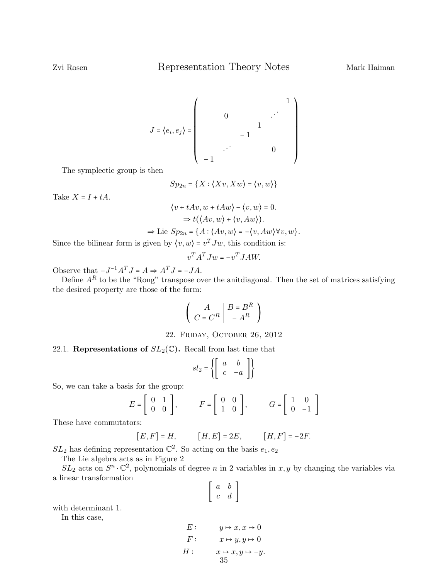$$
J = \langle e_i, e_j \rangle = \begin{pmatrix} & & & & & 1 \\ & 0 & & & & \cdots & \\ & & & & & 1 & \\ & & & & & & 1 \\ & & & & & & & 0 \\ & & & & & & & & 0 \\ & & & & & & & & 0 \end{pmatrix}
$$

The symplectic group is then

$$
Sp_{2n} = \{X: \langle Xv, Xw \rangle = \langle v, w \rangle\}
$$

Take  $X = I + tA$ .

$$
\langle v + tAv, w + tAw \rangle - \langle v, w \rangle = 0.
$$
  
\n
$$
\Rightarrow t(\langle Av, w \rangle + \langle v, Aw \rangle).
$$
  
\n
$$
\Rightarrow \text{Lie } Sp_{2n} = \{ A : \langle Av, w \rangle = -\langle v, Aw \rangle \forall v, w \}.
$$

Since the bilinear form is given by  $\langle v, w \rangle = v^T J w$ , this condition is:

$$
v^T A^T J w = -v^T J A W.
$$

Observe that  $-J^{-1}A^TJ = A \Rightarrow A^TJ = -JA$ .

Define  $A^R$  to be the "Rong" transpose over the anitdiagonal. Then the set of matrices satisfying the desired property are those of the form:

$$
\left(\begin{array}{c|c} A & B=B^R\\ \hline C=C^R & -A^R \end{array}\right)
$$

22. Friday, October 26, 2012

# 22.1. Representations of  $SL_2(\mathbb{C})$ . Recall from last time that

$$
sl_2 = \left\{ \left[ \begin{array}{cc} a & b \\ c & -a \end{array} \right] \right\}
$$

So, we can take a basis for the group:

$$
E = \begin{bmatrix} 0 & 1 \\ 0 & 0 \end{bmatrix}, \qquad F = \begin{bmatrix} 0 & 0 \\ 1 & 0 \end{bmatrix}, \qquad G = \begin{bmatrix} 1 & 0 \\ 0 & -1 \end{bmatrix}
$$

These have commutators:

$$
[E,F]=H,\qquad \ \ [H,E]=2E,\qquad \ \ [H,F]=-2F.
$$

 $SL_2$  has defining representation  $\mathbb{C}^2$ . So acting on the basis  $e_1, e_2$ 

The Lie algebra acts as in Figure 2

 $SL_2$  acts on  $S^n \cdot \mathbb{C}^2$ , polynomials of degree n in 2 variables in  $x, y$  by changing the variables via a linear transformation

$$
\left[\begin{array}{cc}a&b\\c&d\end{array}\right]
$$

with determinant 1.

In this case,

$$
E: \t y \mapsto x, x \mapsto 0
$$
  
\n
$$
F: \t x \mapsto y, y \mapsto 0
$$
  
\n
$$
H: \t x \mapsto x, y \mapsto -y.
$$
  
\n
$$
35
$$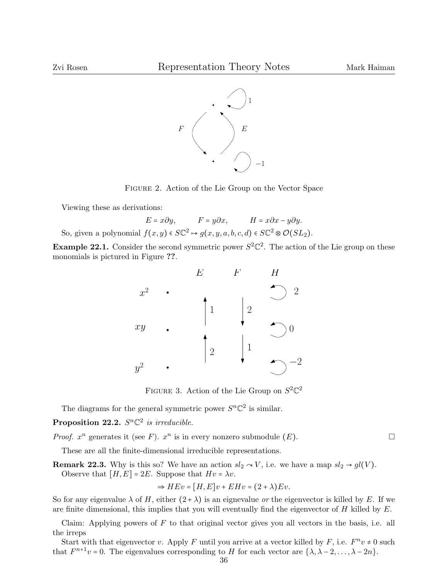

Figure 2. Action of the Lie Group on the Vector Space

Viewing these as derivations:

 $E = x\partial y$ ,  $F = y\partial x$ ,  $H = x\partial x - y\partial y$ . So, given a polynomial  $f(x, y) \in S\mathbb{C}^2 \to g(x, y, a, b, c, d) \in S\mathbb{C}^2 \otimes \mathcal{O}(SL_2)$ .

**Example 22.1.** Consider the second symmetric power  $S^2\mathbb{C}^2$ . The action of the Lie group on these monomials is pictured in Figure ??.



FIGURE 3. Action of the Lie Group on  $S^2\mathbb{C}^2$ 

The diagrams for the general symmetric power  $S<sup>n</sup> \mathbb{C}^2$  is similar.

Proposition 22.2.  $S<sup>n</sup> \mathbb{C}^2$  is irreducible.

*Proof.*  $x^n$  generates it (see F).  $x^n$  is in every nonzero submodule (E).

These are all the finite-dimensional irreducible representations.

**Remark 22.3.** Why is this so? We have an action  $sl_2 \sim V$ , i.e. we have a map  $sl_2 \rightarrow gl(V)$ . Observe that  $[H, E] = 2E$ . Suppose that  $Hv = \lambda v$ .

$$
\Rightarrow HEv = [H, E]v + EHv = (2 + \lambda)Ev.
$$

So for any eigenvalue  $\lambda$  of H, either  $(2 + \lambda)$  is an eignevalue or the eigenvector is killed by E. If we are finite dimensional, this implies that you will eventually find the eigenvector of  $H$  killed by  $E$ .

Claim: Applying powers of  $F$  to that original vector gives you all vectors in the basis, i.e. all the irreps

Start with that eigenvector v. Apply F until you arrive at a vector killed by F, i.e.  $F^n v \neq 0$  such  $F^{n+1}$ that  $F^{n+1}v = 0$ . The eigenvalues corresponding to H for each vector are  $\{\lambda, \lambda - 2, ..., \lambda - 2n\}$ .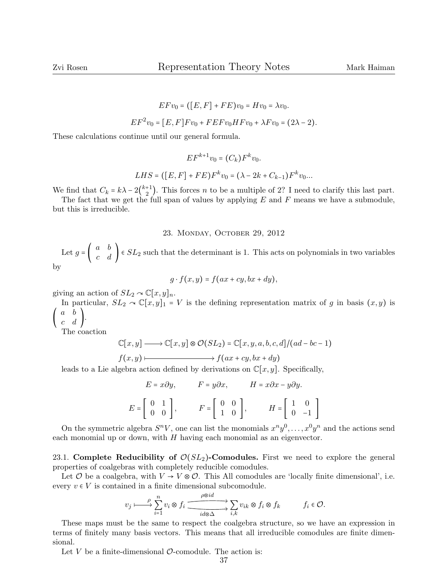$$
EFv_0 = ([E, F] + FE)v_0 = Hv_0 = \lambda v_0.
$$
  

$$
EF^2v_0 = [E, F]Fv_0 + FEFv_0HFv_0 + \lambda Fv_0 = (2\lambda - 2).
$$

These calculations continue until our general formula.

$$
EF^{k+1}v_0 = (C_k)F^kv_0.
$$
  
LHS = ([E, F] + FE)F<sup>k</sup>v<sub>0</sub> = ( $\lambda - 2k + C_{k-1}$ )F<sup>k</sup>v<sub>0</sub>...

We find that  $C_k = k\lambda - 2{k+1 \choose 2}$ . This forces *n* to be a multiple of 2? I need to clarify this last part.

The fact that we get the full span of values by applying  $E$  and  $F$  means we have a submodule, but this is irreducible.

## 23. Monday, October 29, 2012

Let  $g = \begin{pmatrix} a & b \\ c & d \end{pmatrix} \in SL_2$  such that the determinant is 1. This acts on polynomials in two variables by

$$
g \cdot f(x, y) = f(ax + cy, bx + dy),
$$

giving an action of  $SL_2 \sim \mathbb{C}[x,y]_n$ .

In particular,  $SL_2 \curvearrowright \mathbb{C}[x,y]_1 = V$  is the defining representation matrix of g in basis  $(x,y)$  is (  $\begin{pmatrix} a & b \\ c & d \end{pmatrix}$ .

The coaction

$$
\mathbb{C}[x,y] \longrightarrow \mathbb{C}[x,y] \otimes \mathcal{O}(SL_2) = \mathbb{C}[x,y,a,b,c,d]/(ad-bc-1)
$$
  

$$
f(x,y) \longmapsto f(ax+cy,bx+dy)
$$

leads to a Lie algebra action defined by derivations on  $\mathbb{C}[x, y]$ . Specifically,

$$
E = x\partial y, \qquad F = y\partial x, \qquad H = x\partial x - y\partial y.
$$

$$
E = \begin{bmatrix} 0 & 1 \\ 0 & 0 \end{bmatrix}, \qquad F = \begin{bmatrix} 0 & 0 \\ 1 & 0 \end{bmatrix}, \qquad H = \begin{bmatrix} 1 & 0 \\ 0 & -1 \end{bmatrix}
$$

On the symmetric algebra  $S^nV$ , one can list the monomials  $x^ny^0, \ldots, x^0y^n$  and the actions send each monomial up or down, with  $H$  having each monomial as an eigenvector.

23.1. Complete Reducibility of  $\mathcal{O}(SL_2)$ -Comodules. First we need to explore the general properties of coalgebras with completely reducible comodules.

Let  $\mathcal O$  be a coalgebra, with  $V \to V \otimes \mathcal O$ . This All comodules are 'locally finite dimensional', i.e. every  $v \in V$  is contained in a finite dimensional subcomodule.

$$
v_j \longmapsto \sum_{i=1}^p v_i \otimes f_i \xrightarrow{\rho \otimes id} \sum_{id \otimes \Delta} v_{ik} \otimes f_i \otimes f_k \qquad f_i \in \mathcal{O}.
$$

These maps must be the same to respect the coalgebra structure, so we have an expression in terms of finitely many basis vectors. This means that all irreducible comodules are finite dimensional.

Let  $V$  be a finite-dimensional  $\mathcal{O}$ -comodule. The action is: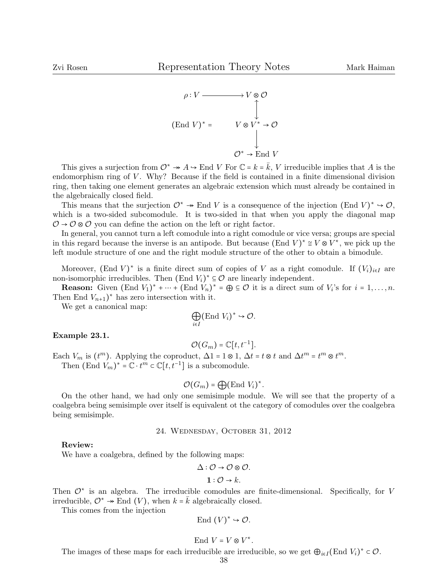

This gives a surjection from  $\mathcal{O}^* \twoheadrightarrow A \hookrightarrow$  End V For  $\mathbb{C} = k = \overline{k}$ , V irreducible implies that A is the endomorphism ring of  $V$ . Why? Because if the field is contained in a finite dimensional division ring, then taking one element generates an algebraic extension which must already be contained in the algebraically closed field.

This means that the surjection  $\mathcal{O}^* \to \text{End } V$  is a consequence of the injection  $(\text{End } V)^* \to \mathcal{O}$ , which is a two-sided subcomodule. It is two-sided in that when you apply the diagonal map  $\mathcal{O} \rightarrow \mathcal{O} \otimes \mathcal{O}$  you can define the action on the left or right factor.

In general, you cannot turn a left comodule into a right comodule or vice versa; groups are special in this regard because the inverse is an antipode. But because  $(\text{End } V)^* \cong V \otimes V^*$ , we pick up the left module structure of one and the right module structure of the other to obtain a bimodule.

Moreover,  $(\text{End } V)^*$  is a finite direct sum of copies of V as a right comodule. If  $(V_i)_{i \in I}$  are non-isomorphic irreducibles. Then  $(\text{End } V_i)^* \subseteq \mathcal{O}$  are linearly independent.

**Reason:** Given  $(\text{End } V_1)^* + \cdots + (\text{End } V_n)^* = \bigoplus \subseteq \mathcal{O}$  it is a direct sum of  $V_i$ 's for  $i = 1, \ldots, n$ . Then End  $V_{n+1}$ <sup>\*</sup> has zero intersection with it.

We get a canonical map:

$$
\bigoplus_{i\in I} (\text{End } V_i)^* \hookrightarrow \mathcal{O}.
$$

#### Example 23.1.

$$
\mathcal{O}(G_m) = \mathbb{C}[t, t^{-1}].
$$

Each  $V_m$  is  $(t^m)$ . Applying the coproduct,  $\Delta 1 = 1 \otimes 1$ ,  $\Delta t = t \otimes t$  and  $\Delta t^m = t^m \otimes t^m$ .<br>Then  $(F_{m}d_{m})^*$ ,  $\mathbb{C}$   $H_{m} = \mathbb{C}[t, t^{-1}]$  is a subsemptible. Then  $(\text{End } V_m)^* = \mathbb{C} \cdot t^m \subset \mathbb{C}[t, t^{-1}]$  is a subcomodule.

$$
\mathcal{O}(G_m) = \bigoplus (\text{End } V_i)^*.
$$

On the other hand, we had only one semisimple module. We will see that the property of a coalgebra being semisimple over itself is equivalent ot the category of comodules over the coalgebra being semisimple.

#### 24. Wednesday, October 31, 2012

### Review:

We have a coalgebra, defined by the following maps:

$$
\Delta: \mathcal{O} \to \mathcal{O} \otimes \mathcal{O}.
$$

$$
\mathbf{1}:\mathcal{O}\rightarrow k.
$$

Then  $\mathcal{O}^*$  is an algebra. The irreducible comodules are finite-dimensional. Specifically, for V irreducible,  $\mathcal{O}^* \to \text{End}(V)$ , when  $k = \overline{k}$  algebraically closed.

This comes from the injection

$$
End (V)^* \hookrightarrow \mathcal{O}.
$$

$$
End V = V \otimes V^*.
$$

The images of these maps for each irreducible are irreducible, so we get  $\bigoplus_{i\in I} (\text{End } V_i)^* \subset \mathcal{O}$ .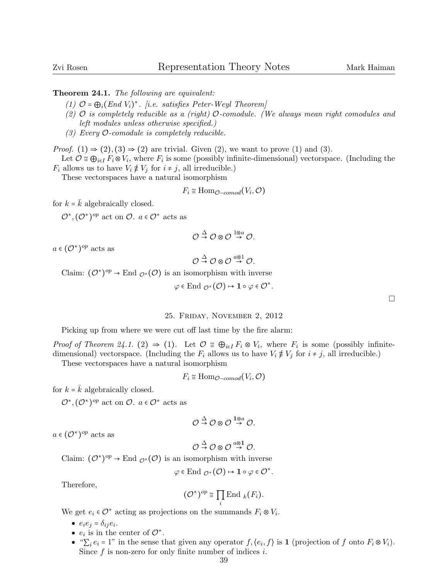Theorem 24.1. The following are equivalent:

- (1)  $\mathcal{O} = \bigoplus_i (End\ V_i)^*$ . [i.e. satisfies Peter-Weyl Theorem]
- (2)  $\mathcal{O}$  is completely reducible as a (right)  $\mathcal{O}$ -comodule. (We always mean right comodules and left modules unless otherwise specified.)
- (3) Every  $\mathcal{O}\text{-}comodule$  is completely reducible.

*Proof.* (1)  $\Rightarrow$  (2), (3)  $\Rightarrow$  (2) are trivial. Given (2), we want to prove (1) and (3).

Let  $\mathcal{O} \cong \bigoplus_{i \in I} F_i \otimes V_i$ , where  $F_i$  is some (possibly infinite-dimensional) vectorspace. (Including the  $F_i$  allows us to have  $V_i \not\equiv V_j$  for  $i \neq j$ , all irreducible.)

These vectorspaces have a natural isomorphism

$$
F_i \cong \text{Hom}_{\mathcal{O}-\text{comod}}(V_i, \mathcal{O})
$$

for  $k = k$  algebraically closed.

 $\mathcal{O}^*, (\mathcal{O}^*)^{op}$  act on  $\mathcal{O}$ .  $a \in \mathcal{O}^*$  acts as

$$
\mathcal{O}\overset{\Delta}{\rightarrow}\mathcal{O}\otimes\mathcal{O}\overset{1\otimes a}{\rightarrow}\mathcal{O}.
$$

 $a \in (\mathcal{O}^*)^{op}$  acts as

$$
\mathcal{O} \stackrel{\Delta}{\rightarrow} \mathcal{O} \otimes \mathcal{O} \stackrel{a \otimes 1}{\rightarrow} \mathcal{O}.
$$

Claim:  $(\mathcal{O}^*)^{op} \to \text{End }_{\mathcal{O}^*}(\mathcal{O})$  is an isomorphism with inverse

$$
\varphi \in \text{End}_{\mathcal{O}^*}(\mathcal{O}) \mapsto 1 \circ \varphi \in \mathcal{O}^*
$$

.

## 25. Friday, November 2, 2012

Picking up from where we were cut off last time by the fire alarm:

*Proof of Theorem 24.1.* (2)  $\Rightarrow$  (1). Let  $\mathcal{O} \cong \bigoplus_{i \in I} F_i \otimes V_i$ , where  $F_i$  is some (possibly infinite-<br>dimensional) vectorsness. (Including the  $F$  allows us to have  $V \star V$  for  $i \neq 1$  impolarible) dimensional) vectorspace. (Including the  $F_i$  allows us to have  $V_i \notin V_j$  for  $i \neq j$ , all irreducible.)

These vectorspaces have a natural isomorphism

$$
F_i \cong \text{Hom}_{\mathcal{O}-\text{comod}}(V_i, \mathcal{O})
$$

for  $k = k$  algebraically closed.

 $\mathcal{O}^*, (\mathcal{O}^*)^{op}$  act on  $\mathcal{O}$ .  $a \in \mathcal{O}^*$  acts as

$$
\mathcal{O} \stackrel{\Delta}{\rightarrow} \mathcal{O} \otimes \mathcal{O} \stackrel{1 \otimes a}{\rightarrow} \mathcal{O}.
$$

 $a \in (\mathcal{O}^*)^{op}$  acts as

$$
\mathcal{O} \stackrel{\Delta}{\rightarrow} \mathcal{O} \otimes \mathcal{O} \stackrel{a \otimes 1}{\rightarrow} \mathcal{O}.
$$

Claim:  $(\mathcal{O}^*)^{op} \to \text{End}_{\mathcal{O}^*}(\mathcal{O})$  is an isomorphism with inverse

$$
\varphi \in \text{End}_{\mathcal{O}^*}(\mathcal{O}) \mapsto 1 \circ \varphi \in \mathcal{O}^*.
$$

Therefore,

$$
(\mathcal{O}^*)^{op} \cong \prod_i \mathrm{End\, }_k(F_i).
$$

We get  $e_i \in \mathcal{O}^*$  acting as projections on the summands  $F_i \otimes V_i$ .

● <sup>e</sup>ie<sup>j</sup> <sup>=</sup> <sup>δ</sup>ije<sup>i</sup> .

- $e_i$  is in the center of  $\mathcal{O}^*$ .
- $\bullet$  " $\Sigma_i e_i = 1$ " in the sense that given any operator  $f, \langle e_i, f \rangle$  is 1 (projection of f onto  $F_i \otimes V_i$ ).<br>Since f is non-sense for only finite number of indices is Since  $f$  is non-zero for only finite number of indices  $i$ .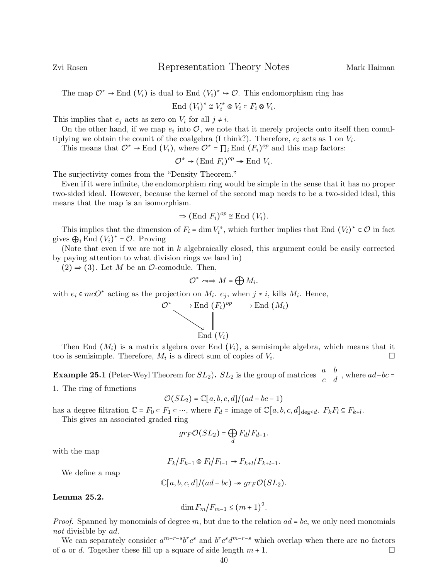The map  $\mathcal{O}^* \to \text{End}(V_i)$  is dual to End  $(V_i)^* \to \mathcal{O}$ . This endomorphism ring has

End  $(V_i)^* \cong V_i^* \otimes V_i \subset F_i \otimes V_i$ .

This implies that  $e_j$  acts as zero on  $V_i$  for all  $j \neq i$ .

On the other hand, if we map  $e_i$  into  $\mathcal{O}$ , we note that it merely projects onto itself then comultiplying we obtain the counit of the coalgebra (I think?). Therefore,  $e_i$  acts as 1 on  $V_i$ .

This means that  $\mathcal{O}^* \to \text{End}(V_i)$ , where  $\mathcal{O}^* = \prod_i \text{End}(F_i)^{op}$  and this map factors:

$$
\mathcal{O}^* \to (\text{End } F_i)^{op} \twoheadrightarrow \text{End } V_i.
$$

The surjectivity comes from the "Density Theorem."

Even if it were infinite, the endomorphism ring would be simple in the sense that it has no proper two-sided ideal. However, because the kernel of the second map needs to be a two-sided ideal, this means that the map is an isomorphism.

$$
\Rightarrow (\text{End } F_i)^{op} \cong \text{End }(V_i).
$$

This implies that the dimension of  $F_i = \dim V_i^*$ , which further implies that End  $(V_i)^* \subset \mathcal{O}$  in fact gives  $\bigoplus_i$  End  $(V_i)^* = \mathcal{O}$ . Proving

(Note that even if we are not in k algebraically closed, this argument could be easily corrected by paying attention to what division rings we land in)

 $(2) \Rightarrow (3)$ . Let M be an  $\mathcal{O}$ -comodule. Then,

$$
\mathcal{O}^* \curvearrowright \Rightarrow M = \bigoplus M_i.
$$

with  $e_i \in mcO^*$  acting as the projection on  $M_i$ .  $e_j$ , when  $j \neq i$ , kills  $M_i$ . Hence,

$$
\mathcal{O}^* \longrightarrow \text{End } (F_i)^{op} \longrightarrow \text{End } (M_i)
$$
  
\n
$$
\downarrow \qquad \qquad \downarrow
$$
  
\n
$$
\text{End } (V_i)
$$

Then End  $(M_i)$  is a matrix algebra over End  $(V_i)$ , a semisimple algebra, which means that it o is semisimple. Therefore,  $M_i$  is a direct sum of copies of  $V_i$ . too is semisimple. Therefore,  $M_i$  is a direct sum of copies of  $V_i$ .

**Example 25.1** (Peter-Weyl Theorem for  $SL_2$ ).  $SL_2$  is the group of matrices  $\begin{pmatrix} a & b \\ c & d \end{pmatrix}$ , where  $ad-bc =$ 1. The ring of functions

$$
\mathcal{O}(SL_2) = \mathbb{C}[a, b, c, d]/(ad - bc - 1)
$$

has a degree filtration  $\mathbb{C} = F_0 \subset F_1 \subset \cdots$ , where  $F_d = \text{image of } \mathbb{C}[a, b, c, d]_{\text{deg} \leq d}$ .  $F_k F_l \subseteq F_{k+l}$ .

This gives an associated graded ring

$$
gr_F\mathcal{O}(SL_2)=\bigoplus_dF_d/F_{d-1}.
$$

with the map

$$
F_k/F_{k-1}\otimes F_l/F_{l-1}\to F_{k+l}/F_{k+l-1}.
$$

We define a map

$$
\mathbb{C}[a,b,c,d]/(ad-bc) \twoheadrightarrow gr_F \mathcal{O}(SL_2).
$$

Lemma 25.2.

$$
\dim F_m/F_{m-1}\leq (m+1)^2.
$$

*Proof.* Spanned by monomials of degree m, but due to the relation  $ad = bc$ , we only need monomials not divisible by ad.

We can separately consider  $a^{m-r-s}b^r c^s$  and  $b^r c^s d^{m-r-s}$  which overlap when there are no factors of a or d. Together these fill up a square of side length  $m + 1$ .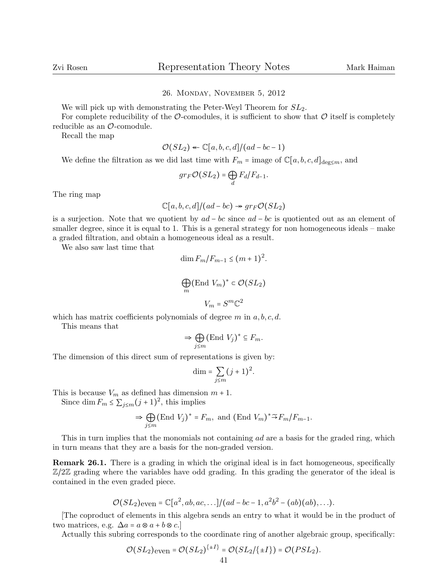## 26. Monday, November 5, 2012

We will pick up with demonstrating the Peter-Weyl Theorem for  $SL_2$ .

For complete reducibility of the  $\mathcal{O}$ -comodules, it is sufficient to show that  $\mathcal{O}$  itself is completely reducible as an O-comodule.

Recall the map

$$
\mathcal{O}(SL_2) \leftarrow \mathbb{C}[a,b,c,d]/(ad-bc-1)
$$

We define the filtration as we did last time with  $F_m$  = image of  $\mathbb{C}[a, b, c, d]_{\text{deg}\leq m}$ , and

$$
gr_F \mathcal{O}(SL_2) = \bigoplus_d F_d/F_{d-1}.
$$

The ring map

$$
\mathbb{C}[a,b,c,d]/(ad-bc) \twoheadrightarrow gr_F \mathcal{O}(SL_2)
$$

is a surjection. Note that we quotient by  $ad - bc$  since  $ad - bc$  is quotiented out as an element of smaller degree, since it is equal to 1. This is a general strategy for non homogeneous ideals – make a graded filtration, and obtain a homogeneous ideal as a result.

We also saw last time that

$$
\dim F_m/F_{m-1} \le (m+1)^2.
$$
  

$$
\bigoplus_m (\text{End } V_m)^* \subset \mathcal{O}(SL_2)
$$
  

$$
V_m = S^m \mathbb{C}^2
$$

which has matrix coefficients polynomials of degree  $m$  in  $a, b, c, d$ .

This means that

$$
\Rightarrow \bigoplus_{j\leq m} (\text{End } V_j)^* \subseteq F_m.
$$

The dimension of this direct sum of representations is given by:

$$
\dim = \sum_{j \le m} (j+1)^2.
$$

This is because  $V_m$  as defined has dimension  $m + 1$ .

Since  $\dim F_m \leq \sum_{j \leq m} (j+1)^2$ , this implies

$$
\Rightarrow \bigoplus_{j\leq m} (\text{End } V_j)^* = F_m, \text{ and } (\text{End } V_m)^* \widetilde{\rightarrow} F_m / F_{m-1}.
$$

This in turn implies that the monomials not containing ad are a basis for the graded ring, which in turn means that they are a basis for the non-graded version.

Remark 26.1. There is a grading in which the original ideal is in fact homogeneous, specifically  $\mathbb{Z}/2\mathbb{Z}$  grading where the variables have odd grading. In this grading the generator of the ideal is contained in the even graded piece.

$$
\mathcal{O}(SL_2)_{\text{even}} = \mathbb{C}[a^2, ab, ac, \ldots]/(ad - bc - 1, a^2b^2 - (ab)(ab), \ldots).
$$

[The coproduct of elements in this algebra sends an entry to what it would be in the product of two matrices, e.g.  $\Delta a = a \otimes a + b \otimes c$ .

Actually this subring corresponds to the coordinate ring of another algebraic group, specifically:

$$
\mathcal{O}(SL_2)_{\text{even}} = \mathcal{O}(SL_2)^{\{\pm I\}} = \mathcal{O}(SL_2/\{\pm I\}) = \mathcal{O}(PSL_2).
$$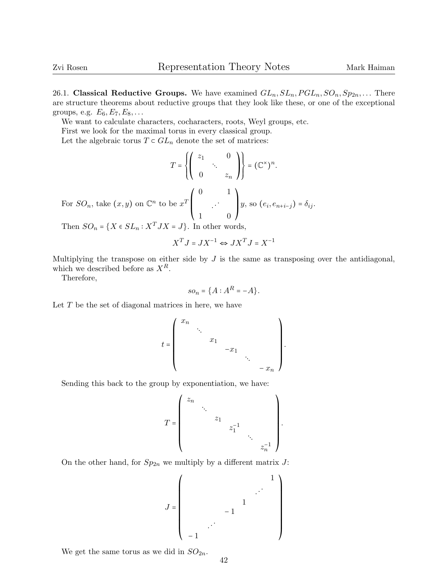26.1. Classical Reductive Groups. We have examined  $GL_n, SL_n, PGL_n, SO_n, Sp_{2n}, \ldots$  There are structure theorems about reductive groups that they look like these, or one of the exceptional groups, e.g.  $E_6, E_7, E_8, \ldots$ 

We want to calculate characters, cocharacters, roots, Weyl groups, etc.

First we look for the maximal torus in every classical group.

Let the algebraic torus  $T \subset GL_n$  denote the set of matrices:

$$
T = \left\{ \begin{pmatrix} z_1 & 0 \\ 0 & z_n \end{pmatrix} \right\} = (\mathbb{C}^\times)^n.
$$
\nFor  $SO_n$ , take  $(x, y)$  on  $\mathbb{C}^n$  to be  $x^T \begin{pmatrix} 0 & 1 \\ 1 & 0 \end{pmatrix} y$ , so  $(e_i, e_{n+i-j}) = \delta_{ij}$ .

Then  $SO_n = \{X \in SL_n : X^T J X = J\}$ . In other words,

$$
X^T J = J X^{-1} \Leftrightarrow J X^T J = X^{-1}
$$

Multiplying the transpose on either side by  $J$  is the same as transposing over the antidiagonal, which we described before as  $X^R$ .

Therefore,

$$
so_n = \{A : A^R = -A\}.
$$

Let  $T$  be the set of diagonal matrices in here, we have

$$
t = \begin{pmatrix} x_n & & & & \\ & \ddots & & & \\ & & x_1 & & \\ & & & -x_1 & \\ & & & & \ddots \\ & & & & & -x_n \end{pmatrix}.
$$

Sending this back to the group by exponentiation, we have:

$$
T=\left(\begin{array}{cccccc} z_n & & & & & \\ & \ddots & & & & \\ & & z_1 & & & \\ & & & z_1^{-1} & & \\ & & & & \ddots & \\ & & & & & z_n^{-1} \end{array}\right).
$$

On the other hand, for  $Sp_{2n}$  we multiply by a different matrix  $J$ :

J = ⎛ ⎜ ⎜ ⎜ ⎜ ⎜ ⎜ ⎜ ⎜ ⎜ ⎜ ⎝ 1 . . . 1 − 1 . . . − 1 ⎞ ⎟ ⎟ ⎟ ⎟ ⎟ ⎟ ⎟ ⎟ ⎟ ⎟ ⎠

We get the same torus as we did in  $SO_{2n}$ .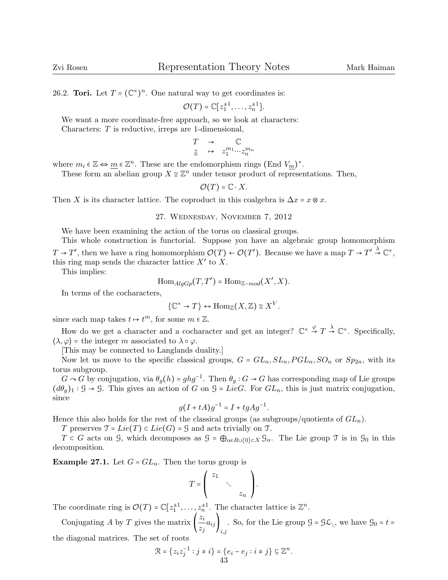26.2. **Tori.** Let  $T = (\mathbb{C}^{\times})^n$ . One natural way to get coordinates is:

$$
\mathcal{O}(T) = \mathbb{C}[z_1^{\pm 1}, \ldots, z_n^{\pm 1}].
$$

We want a more coordinate-free approach, so we look at characters:

Characters: T is reductive, irreps are 1-dimensional,

$$
\begin{array}{ccc}\nT & \to & \mathbb{C} \\
\underline{z} & \mapsto & z_1^{m_1} \cdots z_n^{m_n}\n\end{array}
$$

where  $m_i \in \mathbb{Z} \Leftrightarrow \underline{m} \in \mathbb{Z}^n$ . These are the endomorphism rings  $(\text{End } V_{\underline{m}})^*$ .<br>These form an abelian group  $X \approx \mathbb{Z}^n$  under tensor product of represent-

These form an abelian group  $X \cong \mathbb{Z}^n$  under tensor product of representations. Then,

 $\mathcal{O}(T) = \mathbb{C} \cdot X$ .

Then X is its character lattice. The coproduct in this coalgebra is  $\Delta x = x \otimes x$ .

27. Wednesday, November 7, 2012

We have been examining the action of the torus on classical groups.

This whole construction is functorial. Suppose you have an algebraic group homomorphism  $T \to T'$ , then we have a ring homomorphism  $\mathcal{O}(T) \leftarrow \mathcal{O}(T')$ . Because we have a map  $T \to T' \stackrel{\lambda}{\to} \mathbb{C}^{\times}$ , this ring map sends the character lattice  $X'$  to X.

This implies:

$$
\mathrm{Hom}_{AlgGp}(T,T')=\mathrm{Hom}_{\mathbb{Z}-mod}(X',X).
$$

In terms of the cocharacters,

$$
\{\mathbb{C}^{\times} \to T\} \leftrightarrow \text{Hom}_{\mathbb{Z}}(X,\mathbb{Z}) \cong X^{V}.
$$

since each map takes  $t \mapsto t^m$ , for some  $m \in \mathbb{Z}$ .

How do we get a character and a cocharacter and get an integer?  $\mathbb{C}^{\times} \stackrel{\varphi}{\to} T \stackrel{\lambda}{\to} \mathbb{C}^{\times}$ . Specifically,  $\langle \lambda, \varphi \rangle$  = the integer m associated to  $\lambda \circ \varphi$ .

[This may be connected to Langlands duality.]

Now let us move to the specific classical groups,  $G = GL_n, SL_n, PGL_n, SO_n$  or  $Sp_{2n}$ , with its torus subgroup.

 $G \sim G$  by conjugation, via  $\theta_g(h) = ghg^{-1}$ . Then  $\theta_g: G \to G$  has corresponding map of Lie groups  $(d\theta_q)_1 : \mathcal{G} \to \mathcal{G}$ . This gives an action of G on  $\mathcal{G} = LieG$ . For  $GL_n$ , this is just matrix conjugation, since

$$
g(I+tA)g^{-1} = I + tgAg^{-1}.
$$

Hence this also holds for the rest of the classical groups (as subgroups/quotients of  $GL_n$ ).

T preserves  $\mathfrak{T} = Lie(T) \subset Lie(G) = \mathfrak{G}$  and acts trivially on  $\mathfrak{T}$ .

 $T \subset G$  acts on G, which decomposes as  $G = \bigoplus_{\alpha \in R \cup \{0\} \subset X} \mathcal{G}_{\alpha}$ . The Lie group  $\mathcal T$  is in  $\mathcal{G}_0$  in this decomposition.

**Example 27.1.** Let  $G = GL_n$ . Then the torus group is

$$
T=\left(\begin{array}{ccc} z_1 & & \\ & \ddots & \\ & & z_n \end{array}\right).
$$

The coordinate ring is  $\mathcal{O}(T) = \mathbb{C}[z_1^{\pm 1}, \dots, z_n^{\pm 1}]$ . The character lattice is  $\mathbb{Z}^n$ .

Conjugating A by T gives the matrix  $\left(\frac{z_i}{z_i}\right)$  $\left(\frac{\partial z_i}{\partial y_i}\right)_{i,j}$ . So, for the Lie group  $\mathcal{G} = \mathcal{G} \mathcal{L}_{\setminus}$ , we have  $\mathcal{G}_0 = t =$ 

the diagonal matrices. The set of roots

$$
\mathcal{R} = \{z_i z_j^{-1} : j \neq i\} = \{e_i - e_j : i \neq j\} \subseteq \mathbb{Z}^n.
$$
  
43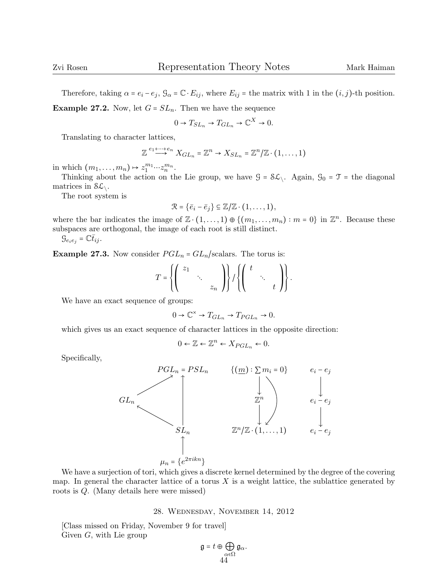Therefore, taking  $\alpha = e_i - e_j$ ,  $\mathcal{G}_{\alpha} = \mathbb{C} \cdot E_{ij}$ , where  $E_{ij}$  = the matrix with 1 in the  $(i, j)$ -th position.

**Example 27.2.** Now, let  $G = SL_n$ . Then we have the sequence

$$
0 \to T_{SL_n} \to T_{GL_n} \to \mathbb{C}^X \to 0.
$$

Translating to character lattices,

$$
\mathbb{Z} \stackrel{e_1 + \cdots + e_n}{\longrightarrow} X_{GL_n} = \mathbb{Z}^n \to X_{SL_n} = \mathbb{Z}^n/\mathbb{Z} \cdot (1, \ldots, 1)
$$

in which  $(m_1, \ldots, m_n) \mapsto z_1^{m_1} \cdots z_n^{m_n}$ .

Thinking about the action on the Lie group, we have  $\mathcal{G} = \mathcal{SL}\setminus\mathcal{A}$  Again,  $\mathcal{G}_0 = \mathcal{T}$  = the diagonal matrices in  $S\mathcal{L}_{\setminus}$ .

The root system is

$$
\mathcal{R} = \{\bar{e}_i - \bar{e}_j\} \subseteq \mathbb{Z}/\mathbb{Z} \cdot (1,\ldots,1),
$$

where the bar indicates the image of  $\mathbb{Z} \cdot (1, \ldots, 1) \oplus \{(m_1, \ldots, m_n) : m = 0\}$  in  $\mathbb{Z}^n$ . Because these subspaces are orthogonal, the image of each root is still distinct.

$$
\mathcal{G}_{e_ie_j}=\mathbb{C}\bar{t}_{ij}.
$$

**Example 27.3.** Now consider  $PGL_n = GL_n$ /scalars. The torus is:

$$
T = \left\{ \left( \begin{array}{ccc} z_1 & & \\ & \ddots & \\ & & z_n \end{array} \right) \right\} / \left\{ \left( \begin{array}{ccc} t & & \\ & \ddots & \\ & & t \end{array} \right) \right\}.
$$

We have an exact sequence of groups:

$$
0 \to \mathbb{C}^{\times} \to T_{GL_n} \to T_{PGL_n} \to 0.
$$

which gives us an exact sequence of character lattices in the opposite direction:

$$
0 \leftarrow \mathbb{Z} \leftarrow \mathbb{Z}^n \leftarrow X_{PGL_n} \leftarrow 0.
$$

Specifically,



We have a surjection of tori, which gives a discrete kernel determined by the degree of the covering map. In general the character lattice of a torus  $X$  is a weight lattice, the sublattice generated by roots is Q. (Many details here were missed)

## 28. Wednesday, November 14, 2012

[Class missed on Friday, November 9 for travel] Given  $G$ , with Lie group

$$
\mathfrak{g}=t\oplus\bigoplus_{\substack{\alpha\in\Omega\\\phantom{\alpha\in\alpha}}}\mathfrak{g}_{\alpha}.
$$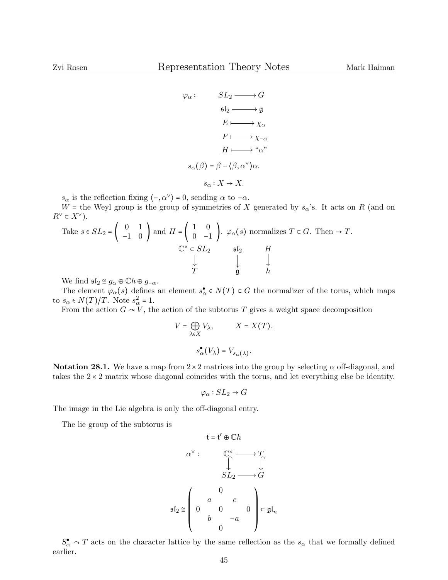$$
\varphi_{\alpha}: \qquad SL_{2} \longrightarrow G
$$
\n
$$
\mathfrak{sl}_{2} \longrightarrow \mathfrak{g}
$$
\n
$$
E \longmapsto \chi_{\alpha}
$$
\n
$$
F \longmapsto \chi_{-\alpha}
$$
\n
$$
H \longmapsto \omega_{\alpha}
$$
\n
$$
s_{\alpha}(\beta) = \beta - \langle \beta, \alpha^{\vee} \rangle \alpha.
$$
\n
$$
s_{\alpha}: X \to X.
$$

 $s_{\alpha}$  is the reflection fixing  $\langle -\alpha^{\vee} \rangle = 0$ , sending  $\alpha$  to  $-\alpha$ .

W = the Weyl group is the group of symmetries of X generated by  $s_{\alpha}$ 's. It acts on R (and on  $R^{\vee} \subset X^{\vee}$ ).

Take 
$$
s \in SL_2 = \begin{pmatrix} 0 & 1 \\ -1 & 0 \end{pmatrix}
$$
 and  $H = \begin{pmatrix} 1 & 0 \\ 0 & -1 \end{pmatrix}$ .  $\varphi_{\alpha}(s)$  normalizes  $T \subset G$ . Then  $\rightarrow T$ .  
\n
$$
\begin{array}{ccc}\n\mathbb{C}^{\times} & \mathbb{C} S L_2 & \mathfrak{sl}_2 & H \\
\downarrow & & \downarrow & \downarrow \\
T & & \mathfrak{g} & h\n\end{array}
$$

We find  $\mathfrak{sl}_2 \cong g_\alpha \oplus \mathbb{C}h \oplus g_{-\alpha}$ .

The element  $\varphi_{\alpha}(s)$  defines an element  $s_{\alpha}^{\bullet} \in N(T) \subset G$  the normalizer of the torus, which maps to  $s_{\alpha} \in N(T)/T$ . Note  $s_{\alpha}^2 = 1$ .<br>From the action  $C = V$ , then

From the action  $G \sim V$ , the action of the subtorus T gives a weight space decomposition

$$
V = \bigoplus_{\lambda \in X} V_{\lambda}, \qquad X = X(T).
$$

$$
s_{\alpha}^{\bullet}(V_{\lambda}) = V_{s_{\alpha}(\lambda)}.
$$

Notation 28.1. We have a map from  $2 \times 2$  matrices into the group by selecting  $\alpha$  off-diagonal, and takes the  $2 \times 2$  matrix whose diagonal coincides with the torus, and let everything else be identity.

$$
\varphi_{\alpha}: SL_2 \to G
$$

 $\sim$   $\cdot$ 

The image in the Lie algebra is only the off-diagonal entry.

The lie group of the subtorus is

$$
\mathfrak{t} = \mathfrak{t}' \oplus \mathbb{C}h
$$
\n
$$
\alpha^{\vee} : \qquad \mathbb{C}^{\times} \longrightarrow T
$$
\n
$$
\mathfrak{S}L_2 \longrightarrow G
$$
\n
$$
\mathfrak{sl}_2 \cong \left( \begin{array}{cccc} 0 & & \\ a & c & \\ b & -a & \\ 0 & & 0 \end{array} \right) \subset \mathfrak{gl}_n
$$

 $S^{\bullet}_{\alpha} \cap T$  acts on the character lattice by the same reflection as the  $s_{\alpha}$  that we formally defined earlier.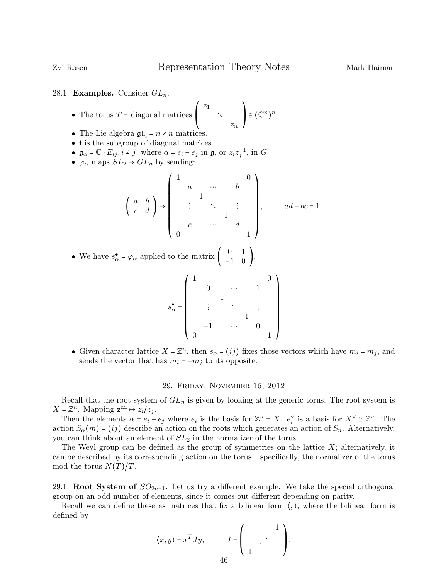## 28.1. Examples. Consider  $GL_n$ .

• The torus 
$$
T
$$
 = diagonal matrices  $\begin{pmatrix} z_1 \\ z_2 \\ z_n \end{pmatrix} \cong (\mathbb{C}^{\times})^n$ .

- The Lie algebra  $\mathfrak{gl}_n = n \times n$  matrices.
- t is the subgroup of diagonal matrices.
- $\mathfrak{g}_{\alpha} = \mathbb{C} \cdot E_{ij}, i \neq j$ , where  $\alpha = e_i e_j$  in  $\mathfrak{g}$ , or  $z_i z_j^{-1}$ , in G.
- $\varphi_{\alpha}$  maps  $SL_2 \rightarrow GL_n$  by sending:

$$
\left(\begin{array}{cccc} a & b \\ c & d \end{array}\right) \mapsto \left(\begin{array}{cccc} 1 & a & & & & 0 \\ & a & & & & b \\ & & 1 & & & \\ & & & \ddots & & \vdots & \\ & & & & 1 & \\ & & & & & d \\ 0 & & & & & 1 \end{array}\right), \quad ad-bc=1.
$$

• We have  $s^{\bullet}_{\alpha} = \varphi_{\alpha}$  applied to the matrix  $\begin{pmatrix} 0 & 1 \\ -1 & 0 \end{pmatrix}$ .

$$
s_\alpha^\bullet=\left(\begin{array}{ccccc}1&&&&&0\\&0&&\cdots&&1\\&&1&&&\\&&\vdots&&\ddots&&\vdots\\&&&1&&\\-1&&\cdots&&0\\0&&&&&1\end{array}\right)
$$

• Given character lattice  $X = \mathbb{Z}^n$ , then  $s_{\alpha} = (ij)$  fixes those vectors which have  $m_i = m_j$ , and sends the vector that has  $m_i = -m_j$  to its opposite.

## 29. Friday, November 16, 2012

Recall that the root system of  $GL_n$  is given by looking at the generic torus. The root system is  $X = \mathbb{Z}^n$ . Mapping  $\mathbf{z}^m \mapsto z_i/z_j$ .<br>Then the elements  $\hat{z}_i \in \mathbb{Z}^n$ .

Then the elements  $\alpha = e_i - e_j$  where  $e_i$  is the basis for  $\mathbb{Z}^n = X$ .  $e_i^{\vee}$  is a basis for  $X^{\vee} \cong \mathbb{Z}^n$ . The action  $S_{\alpha}(m) = (ij)$  describe an action on the roots which generates an action of  $S_n$ . Alternatively, you can think about an element of  $SL<sub>2</sub>$  in the normalizer of the torus.

The Weyl group can be defined as the group of symmetries on the lattice  $X$ ; alternatively, it can be described by its corresponding action on the torus – specifically, the normalizer of the torus mod the torus  $N(T)/T$ .

29.1. Root System of  $SO_{2n+1}$ . Let us try a different example. We take the special orthogonal group on an odd number of elements, since it comes out different depending on parity.

Recall we can define these as matrices that fix a bilinear form  $\langle, \rangle$ , where the bilinear form is defined by

$$
\langle x, y \rangle = x^T J y, \qquad J = \left( \begin{array}{c} 1 \\ 1 \end{array} \right).
$$
46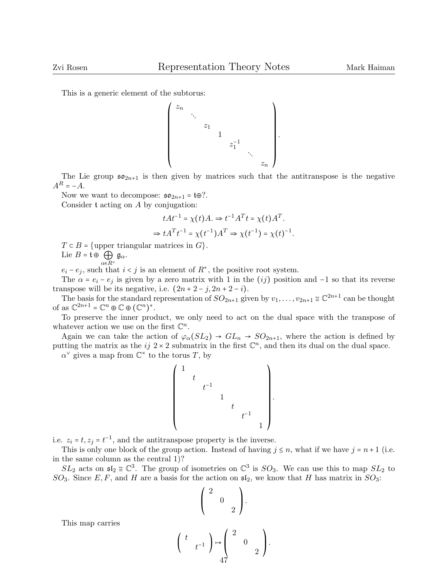This is a generic element of the subtorus:



The Lie group  $\mathfrak{so}_{2n+1}$  is then given by matrices such that the antitranspose is the negative  $A^R = -A.$ 

Now we want to decompose:  $\mathfrak{so}_{2n+1} = \mathfrak{t} \oplus ?$ .

Consider t acting on A by conjugation:

$$
tAt^{-1} = \chi(t)A. \Rightarrow t^{-1}A^{T}t = \chi(t)A^{T}.
$$
  

$$
\Rightarrow tA^{T}t^{-1} = \chi(t^{-1})A^{T} \Rightarrow \chi(t^{-1}) = \chi(t)^{-1}.
$$

 $T \subset B = \{$ upper triangular matrices in  $G \}.$ 

Lie  $B = \mathfrak{t} \oplus \bigoplus_{\alpha \in R^+} \mathfrak{g}_{\alpha}.$ 

 $e_i - e_j$ , such that  $i < j$  is an element of  $R^+$ , the positive root system.

The  $\alpha = e_i - e_j$  is given by a zero matrix with 1 in the (ij) position and -1 so that its reverse transpose will be its negative, i.e.  $(2n+2-j, 2n+2-i)$ .

The basis for the standard representation of  $SO_{2n+1}$  given by  $v_1, \ldots, v_{2n+1} \cong \mathbb{C}^{2n+1}$  can be thought of as  $\mathbb{C}^{2n+1} = \mathbb{C}^n \oplus \mathbb{C} \oplus (\mathbb{C}^n)^*$ .<br>To program the inner project

To preserve the inner product, we only need to act on the dual space with the transpose of whatever action we use on the first  $\mathbb{C}^n$ .

Again we can take the action of  $\varphi_{\alpha}(SL_2) \rightarrow GL_n \rightarrow SO_{2n+1}$ , where the action is defined by putting the matrix as the ij  $2 \times 2$  submatrix in the first  $\mathbb{C}^n$ , and then its dual on the dual space.

 $\alpha^{\vee}$  gives a map from  $\mathbb{C}^{\times}$  to the torus T, by



i.e.  $z_i = t$ ,  $z_j = t^{-1}$ , and the antitranspose property is the inverse.<br>This is only one block of the group estion. Instead of hering is

(

This is only one block of the group action. Instead of having  $j \leq n$ , what if we have  $j = n+1$  (i.e. in the same column as the central 1)?

 $SL_2$  acts on  $\mathfrak{sl}_2 \cong \mathbb{C}^3$ . The group of isometries on  $\mathbb{C}^3$  is  $SO_3$ . We can use this to map  $SL_2$  to  $\Omega$ . SO<sub>3</sub>. Since E, F, and H are a basis for the action on  $\mathfrak{sl}_2$ , we know that H has matrix in SO<sub>3</sub>:

$$
\begin{pmatrix} 2 & & \\ & 0 & \\ & & 2 \end{pmatrix}
$$
  

$$
t \begin{pmatrix} t \\ & t^{-1} \end{pmatrix} \mapsto \begin{pmatrix} 2 & & \\ & 0 & \\ & & 2 \end{pmatrix}
$$

 $\mathbf{I}$  $\mathbf{I}$ ⎠ .

This map carries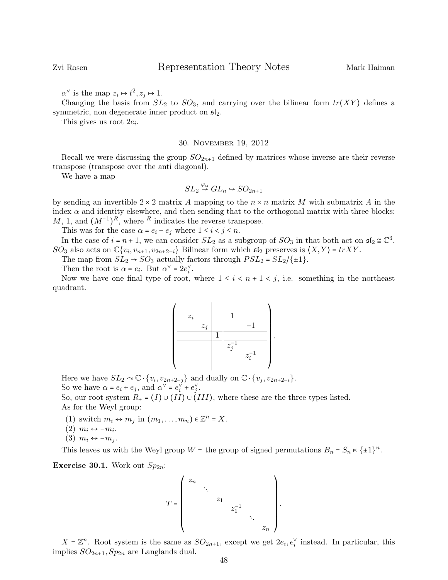$\alpha^{\vee}$  is the map  $z_i \mapsto t^2, z_j \mapsto 1.$ 

Changing the basis from  $SL_2$  to  $SO_3$ , and carrying over the bilinear form  $tr(XY)$  defines a symmetric, non degenerate inner product on  $\mathfrak{sl}_2$ .

This gives us root  $2e_i$ .

#### 30. November 19, 2012

Recall we were discussing the group  $SO_{2n+1}$  defined by matrices whose inverse are their reverse transpose (transpose over the anti diagonal).

We have a map

$$
SL_2 \stackrel{\varphi_{\alpha}}{\rightarrow} GL_n \hookrightarrow SO_{2n+1}
$$

by sending an invertible  $2 \times 2$  matrix A mapping to the  $n \times n$  matrix M with submatrix A in the index  $\alpha$  and identity elsewhere, and then sending that to the orthogonal matrix with three blocks:  $M, 1, \text{ and } (M^{-1})^R$ , where R indicates the reverse transpose.

This was for the case  $\alpha = e_i - e_j$  where  $1 \leq i < j \leq n$ .

In the case of  $i = n + 1$ , we can consider  $SL_2$  as a subgroup of  $SO_3$  in that both act on  $\mathfrak{sl}_2 \cong \mathbb{C}^3$ .  $SO_3$  also acts on  $\mathbb{C}\{v_i, v_{n+1}, v_{2n+2-i}\}\$  Bilinear form which  $\mathfrak{sl}_2$  preserves is  $\langle X, Y \rangle = trXY$ .

The map from  $SL_2 \rightarrow SO_3$  actually factors through  $PSL_2 = SL_2/\{\pm 1\}$ .

Then the root is  $\alpha = e_i$ . But  $\alpha^{\vee} = 2e_i^{\vee}$ .

Now we have one final type of root, where  $1 \leq i \leq n+1 \leq j$ , i.e. something in the northeast quadrant.



Here we have  $SL_2 \curvearrowright \mathbb{C} \cdot \{v_i, v_{2n+2-j}\}\$  and dually on  $\mathbb{C} \cdot \{v_j, v_{2n+2-i}\}.$ So we have  $\alpha = e_i + e_j$ , and  $\alpha^{\vee} = e_i^{\vee} + e_j^{\vee}$ .

So, our root system  $R_+ = (I) \cup (II) \cup (III)$ , where these are the three types listed. As for the Weyl group:

- (1) switch  $m_i \leftrightarrow m_j$  in  $(m_1, \ldots, m_n) \in \mathbb{Z}^n = X$ .
- $(2)$   $m_i$  ↔ − $m_i$ .
- $(3)$   $m_i \leftrightarrow -m_i$ .

This leaves us with the Weyl group  $W =$  the group of signed permutations  $B_n = S_n \times {\{\pm 1\}}^n$ .

**Exercise 30.1.** Work out  $Sp_{2n}$ :

$$
T = \begin{pmatrix} z_n & & & & \\ & \ddots & & & \\ & & z_1 & & \\ & & & z_1^{-1} & \\ & & & & \ddots \\ & & & & & z_n \end{pmatrix}.
$$

 $X = \mathbb{Z}^n$ . Root system is the same as  $SO_{2n+1}$ , except we get  $2e_i, e_i^{\vee}$  instead. In particular, this implies  $SO_{2n+1}$ ,  $Sp_{2n}$  are Langlands dual.